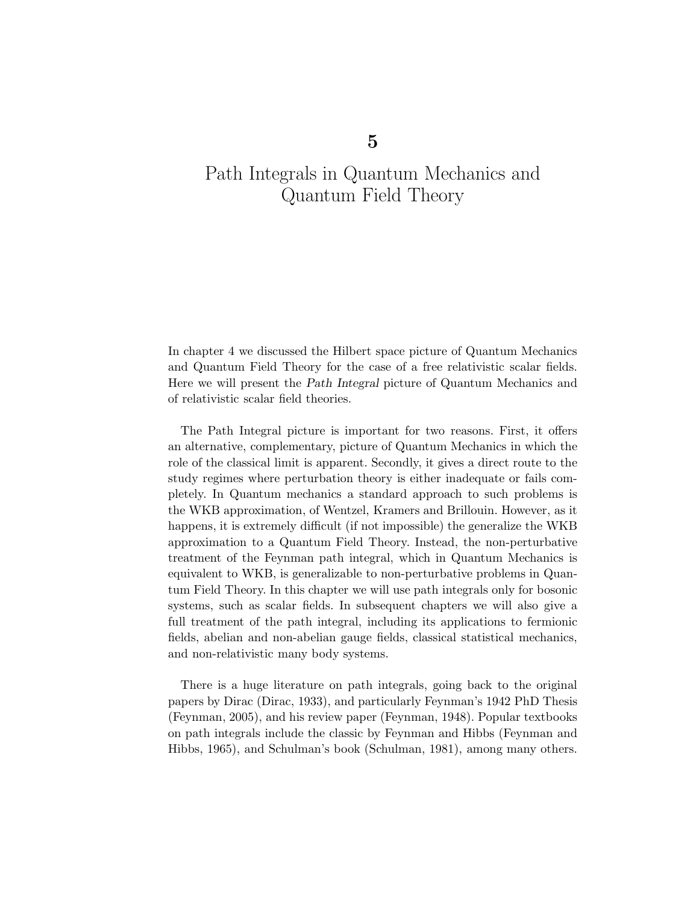In chapter 4 we discussed the Hilbert space picture of Quantum Mechanics and Quantum Field Theory for the case of a free relativistic scalar fields. Here we will present the Path Integral picture of Quantum Mechanics and of relativistic scalar field theories.

The Path Integral picture is important for two reasons. First, it offers an alternative, complementary, picture of Quantum Mechanics in which the role of the classical limit is apparent. Secondly, it gives a direct route to the study regimes where perturbation theory is either inadequate or fails completely. In Quantum mechanics a standard approach to such problems is the WKB approximation, of Wentzel, Kramers and Brillouin. However, as it happens, it is extremely difficult (if not impossible) the generalize the WKB approximation to a Quantum Field Theory. Instead, the non-perturbative treatment of the Feynman path integral, which in Quantum Mechanics is equivalent to WKB, is generalizable to non-perturbative problems in Quantum Field Theory. In this chapter we will use path integrals only for bosonic systems, such as scalar fields. In subsequent chapters we will also give a full treatment of the path integral, including its applications to fermionic fields, abelian and non-abelian gauge fields, classical statistical mechanics, and non-relativistic many body systems.

There is a huge literature on path integrals, going back to the original papers by Dirac (Dirac, 1933), and particularly Feynman's 1942 PhD Thesis (Feynman, 2005), and his review paper (Feynman, 1948). Popular textbooks on path integrals include the classic by Feynman and Hibbs (Feynman and Hibbs, 1965), and Schulman's book (Schulman, 1981), among many others.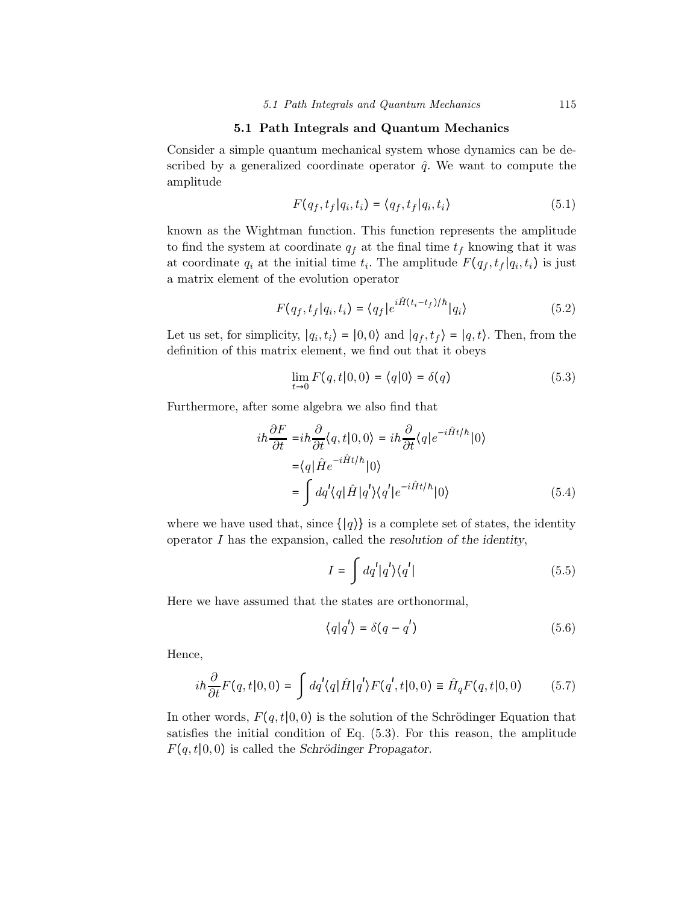#### 5.1 Path Integrals and Quantum Mechanics

Consider a simple quantum mechanical system whose dynamics can be described by a generalized coordinate operator  $\hat{q}$ . We want to compute the amplitude

$$
F(q_f, t_f | q_i, t_i) = \langle q_f, t_f | q_i, t_i \rangle \tag{5.1}
$$

known as the Wightman function. This function represents the amplitude to find the system at coordinate  $q_f$  at the final time  $t_f$  knowing that it was at coordinate  $q_i$  at the initial time  $t_i$ . The amplitude  $F(q_f, t_f | q_i, t_i)$  is just a matrix element of the evolution operator

$$
F(q_f, t_f | q_i, t_i) = \langle q_f | e^{i\hat{H}(t_i - t_f)/\hbar} | q_i \rangle \tag{5.2}
$$

Let us set, for simplicity,  $|q_i, t_i\rangle = |0,0\rangle$  and  $|q_f, t_f\rangle = |q, t\rangle$ . Then, from the definition of this matrix element, we find out that it obeys

$$
\lim_{t \to 0} F(q, t | 0, 0) = \langle q | 0 \rangle = \delta(q) \tag{5.3}
$$

Furthermore, after some algebra we also find that

$$
i\hbar \frac{\partial F}{\partial t} = i\hbar \frac{\partial}{\partial t} \langle q, t | 0, 0 \rangle = i\hbar \frac{\partial}{\partial t} \langle q | e^{-i\hat{H}t/\hbar} | 0 \rangle
$$
  
=  $\langle q | \hat{H} e^{-i\hat{H}t/\hbar} | 0 \rangle$   
=  $\int dq' \langle q | \hat{H} | q' \rangle \langle q' | e^{-i\hat{H}t/\hbar} | 0 \rangle$  (5.4)

where we have used that, since  $\{ |q\rangle \}$  is a complete set of states, the identity operator  $I$  has the expansion, called the resolution of the identity,

$$
I = \int dq' |q'\rangle \langle q'| \tag{5.5}
$$

Here we have assumed that the states are orthonormal,

$$
\langle q|q'\rangle = \delta(q - q')\tag{5.6}
$$

Hence,

$$
i\hbar \frac{\partial}{\partial t} F(q, t|0, 0) = \int dq' \langle q | \hat{H} | q' \rangle F(q', t|0, 0) \equiv \hat{H}_q F(q, t|0, 0) \tag{5.7}
$$

In other words,  $F(q, t | 0, 0)$  is the solution of the Schrödinger Equation that satisfies the initial condition of Eq. (5.3). For this reason, the amplitude  $F(q, t | 0, 0)$  is called the Schrödinger Propagator.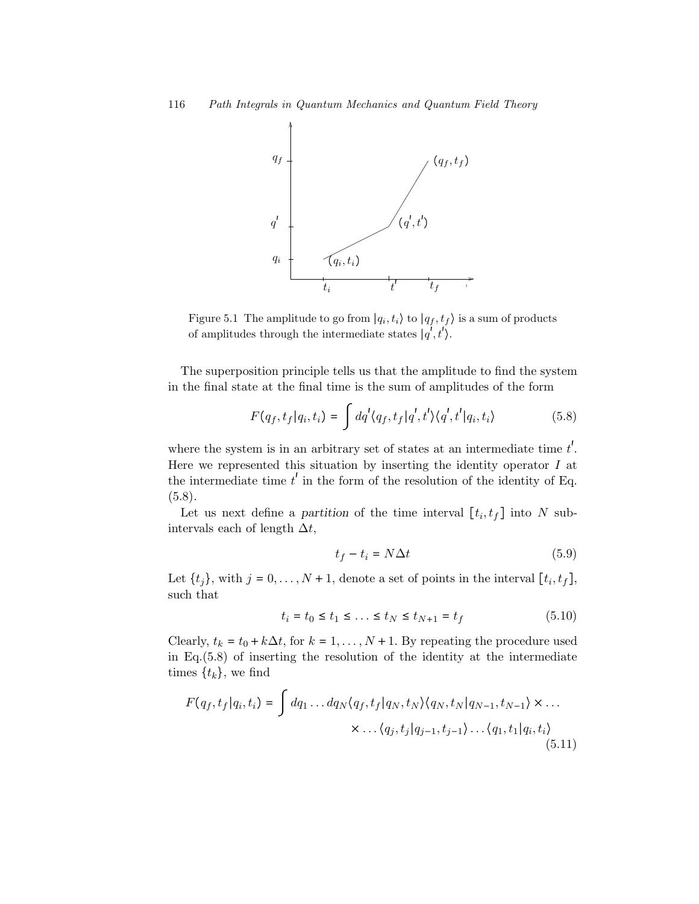

Figure 5.1 The amplitude to go from  $|q_i, t_i\rangle$  to  $|q_f, t_f\rangle$  is a sum of products of amplitudes through the intermediate states  $|q^{\prime}, t^{\prime}\rangle$ .

The superposition principle tells us that the amplitude to find the system in the final state at the final time is the sum of amplitudes of the form

$$
F(q_f, t_f | q_i, t_i) = \int dq' \langle q_f, t_f | q', t' \rangle \langle q', t' | q_i, t_i \rangle
$$
 (5.8)

where the system is in an arbitrary set of states at an intermediate time  $t'$ . Here we represented this situation by inserting the identity operator  $I$  at the intermediate time  $t'$  in the form of the resolution of the identity of Eq.  $(5.8).$ 

Let us next define a partition of the time interval  $[t_i, t_f]$  into N subintervals each of length  $\Delta t$ ,

$$
t_f - t_i = N\Delta t \tag{5.9}
$$

Let  $\{t_j\}$ , with  $j = 0, \ldots, N + 1$ , denote a set of points in the interval  $[t_i, t_f]$ , such that

$$
t_i = t_0 \le t_1 \le \dots \le t_N \le t_{N+1} = t_f \tag{5.10}
$$

Clearly,  $t_k = t_0 + k\Delta t$ , for  $k = 1, ..., N + 1$ . By repeating the procedure used in Eq.(5.8) of inserting the resolution of the identity at the intermediate times  $\{t_k\}$ , we find

$$
F(q_f, t_f | q_i, t_i) = \int dq_1 \dots dq_N \langle q_f, t_f | q_N, t_N \rangle \langle q_N, t_N | q_{N-1}, t_{N-1} \rangle \times \dots
$$

$$
\times \dots \langle q_j, t_j | q_{j-1}, t_{j-1} \rangle \dots \langle q_1, t_1 | q_i, t_i \rangle
$$
(5.11)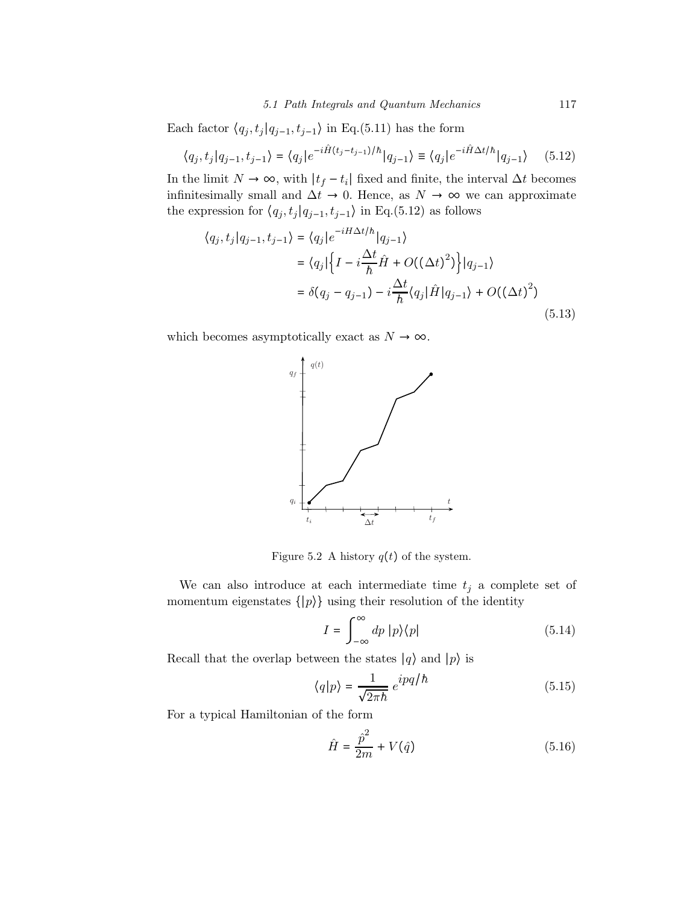#### 5.1 Path Integrals and Quantum Mechanics 117

Each factor  $\langle q_j, t_j | q_{j-1}, t_{j-1} \rangle$  in Eq.(5.11) has the form

$$
\langle q_j, t_j | q_{j-1}, t_{j-1} \rangle = \langle q_j | e^{-i\hat{H}(t_j - t_{j-1})/h} | q_{j-1} \rangle \equiv \langle q_j | e^{-i\hat{H}\Delta t/h} | q_{j-1} \rangle \tag{5.12}
$$

In the limit  $N \to \infty$ , with  $|t_f - t_i|$  fixed and finite, the interval  $\Delta t$  becomes infinitesimally small and  $\Delta t \to 0$ . Hence, as  $N \to \infty$  we can approximate the expression for  $\langle q_j, t_j | q_{j-1}, t_{j-1} \rangle$  in Eq.(5.12) as follows

$$
\langle q_j, t_j | q_{j-1}, t_{j-1} \rangle = \langle q_j | e^{-iH\Delta t/\hbar} | q_{j-1} \rangle
$$
  
\n
$$
= \langle q_j | \left\{ I - i \frac{\Delta t}{\hbar} \hat{H} + O((\Delta t)^2) \right\} | q_{j-1} \rangle
$$
  
\n
$$
= \delta(q_j - q_{j-1}) - i \frac{\Delta t}{\hbar} \langle q_j | \hat{H} | q_{j-1} \rangle + O((\Delta t)^2)
$$
\n(5.13)

which becomes asymptotically exact as  $N \to \infty$ .



Figure 5.2 A history  $q(t)$  of the system.

We can also introduce at each intermediate time  $t_j$  a complete set of momentum eigenstates  $\{|p\rangle\}$  using their resolution of the identity

$$
I = \int_{-\infty}^{\infty} dp \, |p\rangle\langle p| \tag{5.14}
$$

Recall that the overlap between the states  $|q\rangle$  and  $|p\rangle$  is

$$
\langle q|p\rangle = \frac{1}{\sqrt{2\pi\hbar}} e^{ipq/\hbar} \tag{5.15}
$$

For a typical Hamiltonian of the form

$$
\hat{H} = \frac{\hat{p}^2}{2m} + V(\hat{q})
$$
\n(5.16)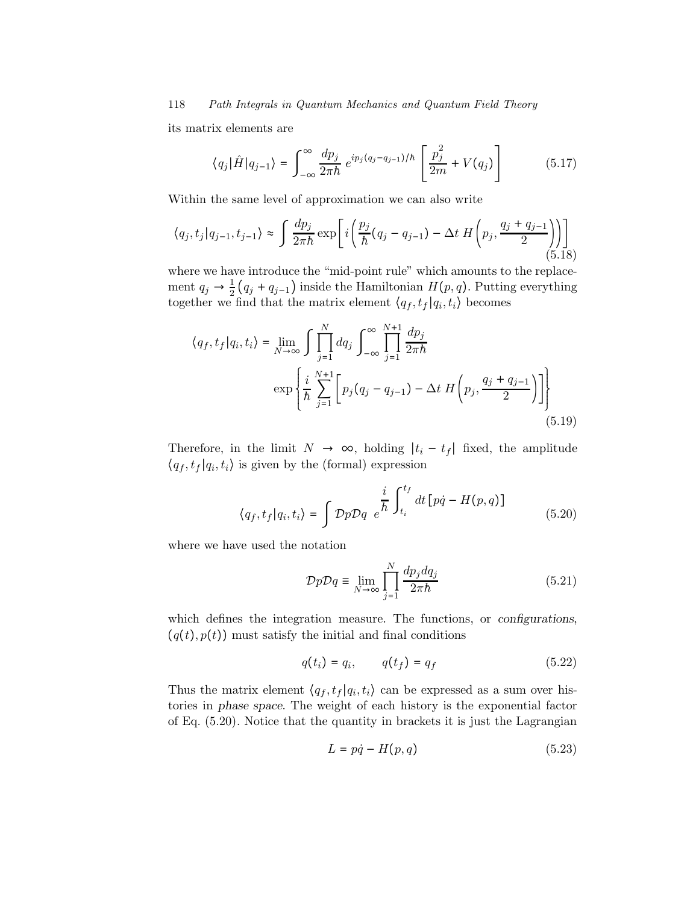its matrix elements are

$$
\langle q_j | \hat{H} | q_{j-1} \rangle = \int_{-\infty}^{\infty} \frac{dp_j}{2\pi \hbar} e^{ip_j(q_j - q_{j-1})/\hbar} \left[ \frac{p_j^2}{2m} + V(q_j) \right]
$$
(5.17)

Within the same level of approximation we can also write

$$
\langle q_j, t_j | q_{j-1}, t_{j-1} \rangle \approx \int \frac{dp_j}{2\pi\hbar} \exp\left[i\left(\frac{p_j}{\hbar}(q_j - q_{j-1}) - \Delta t \, H\left(p_j, \frac{q_j + q_{j-1}}{2}\right)\right)\right]
$$
(5.18)

where we have introduce the "mid-point rule" which amounts to the replacement  $q_j \to \frac{1}{2}(q_j + q_{j-1})$  inside the Hamiltonian  $H(p, q)$ . Putting everything together we find that the matrix element  $\langle q_f, t_f | q_i, t_i \rangle$  becomes

$$
\langle q_f, t_f | q_i, t_i \rangle = \lim_{N \to \infty} \int \prod_{j=1}^N dq_j \int_{-\infty}^{\infty} \prod_{j=1}^{N+1} \frac{dp_j}{2\pi \hbar}
$$
  

$$
\exp \left\{ \frac{i}{\hbar} \sum_{j=1}^{N+1} \left[ p_j (q_j - q_{j-1}) - \Delta t \ H \left( p_j, \frac{q_j + q_{j-1}}{2} \right) \right] \right\}
$$
(5.19)

Therefore, in the limit  $N \to \infty$ , holding  $|t_i - t_f|$  fixed, the amplitude  $\langle q_f, t_f | q_i, t_i \rangle$  is given by the (formal) expression

$$
\langle q_f, t_f | q_i, t_i \rangle = \int \mathcal{D}p \mathcal{D}q \ e^{\frac{i}{\hbar} \int_{t_i}^{t_f} dt \left[ p\dot{q} - H(p, q) \right]}
$$
(5.20)

where we have used the notation

$$
\mathcal{D}p\mathcal{D}q \equiv \lim_{N \to \infty} \prod_{j=1}^{N} \frac{dp_j dq_j}{2\pi \hbar} \tag{5.21}
$$

which defines the integration measure. The functions, or *configurations*,  $(q(t), p(t))$  must satisfy the initial and final conditions

$$
q(t_i) = q_i, \qquad q(t_f) = q_f \tag{5.22}
$$

Thus the matrix element  $\langle q_f, t_f | q_i, t_i \rangle$  can be expressed as a sum over histories in phase space. The weight of each history is the exponential factor of Eq. (5.20). Notice that the quantity in brackets it is just the Lagrangian

$$
L = p\dot{q} - H(p, q) \tag{5.23}
$$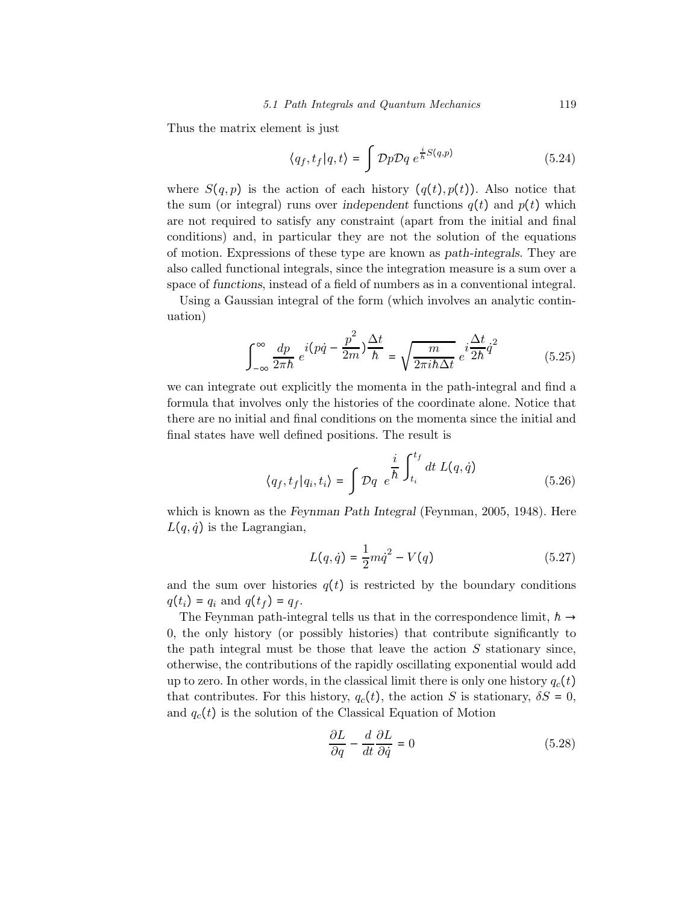Thus the matrix element is just

$$
\langle q_f, t_f | q, t \rangle = \int \mathcal{D}p \mathcal{D}q \ e^{\frac{i}{\hbar}S(q, p)} \tag{5.24}
$$

where  $S(q, p)$  is the action of each history  $(q(t), p(t))$ . Also notice that the sum (or integral) runs over independent functions  $q(t)$  and  $p(t)$  which are not required to satisfy any constraint (apart from the initial and final conditions) and, in particular they are not the solution of the equations of motion. Expressions of these type are known as path-integrals. They are also called functional integrals, since the integration measure is a sum over a space of functions, instead of a field of numbers as in a conventional integral.

Using a Gaussian integral of the form (which involves an analytic continuation)

$$
\int_{-\infty}^{\infty} \frac{dp}{2\pi\hbar} e^{i(p\dot{q} - \frac{p^2}{2m})\frac{\Delta t}{\hbar}} = \sqrt{\frac{m}{2\pi i\hbar\Delta t}} e^{i\frac{\Delta t}{2\hbar}\dot{q}^2}
$$
(5.25)

we can integrate out explicitly the momenta in the path-integral and find a formula that involves only the histories of the coordinate alone. Notice that there are no initial and final conditions on the momenta since the initial and final states have well defined positions. The result is

$$
\langle q_f, t_f | q_i, t_i \rangle = \int \mathcal{D}q \ e^{\frac{i}{\hbar} \int_{t_i}^{t_f} dt \ L(q, \dot{q})} \tag{5.26}
$$

which is known as the Feynman Path Integral (Feynman, 2005, 1948). Here  $L(q, \dot{q})$  is the Lagrangian,

$$
L(q, \dot{q}) = \frac{1}{2} m \dot{q}^{2} - V(q)
$$
\n(5.27)

and the sum over histories  $q(t)$  is restricted by the boundary conditions  $q(t_i) = q_i$  and  $q(t_f) = q_f$ .

The Feynman path-integral tells us that in the correspondence limit,  $h \rightarrow$ 0, the only history (or possibly histories) that contribute significantly to the path integral must be those that leave the action  $S$  stationary since, otherwise, the contributions of the rapidly oscillating exponential would add up to zero. In other words, in the classical limit there is only one history  $q_c(t)$ that contributes. For this history,  $q_c(t)$ , the action S is stationary,  $\delta S = 0$ , and  $q_c(t)$  is the solution of the Classical Equation of Motion

$$
\frac{\partial L}{\partial q} - \frac{d}{dt} \frac{\partial L}{\partial \dot{q}} = 0 \tag{5.28}
$$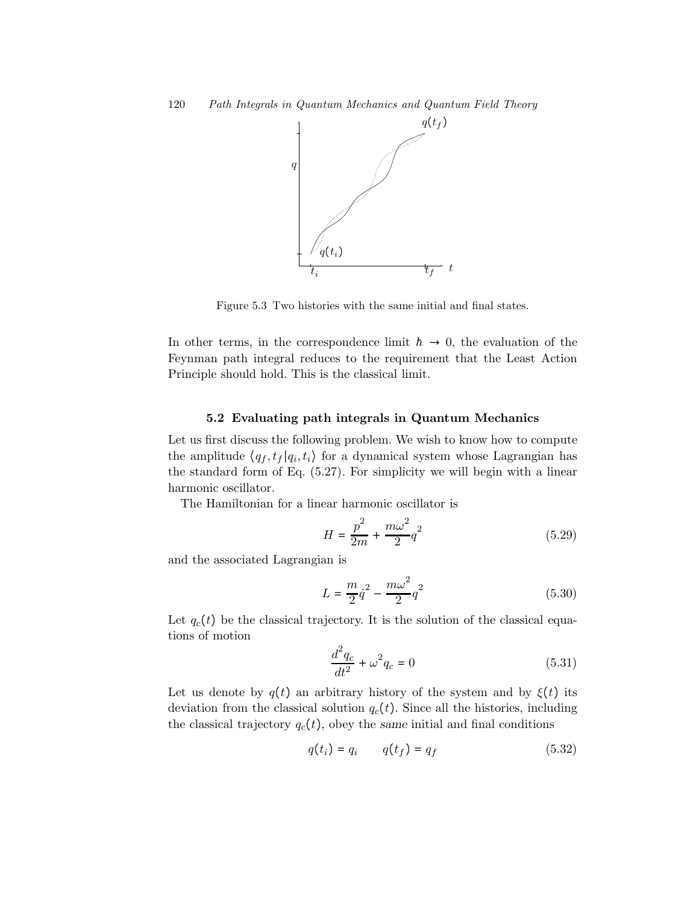

Figure 5.3 Two histories with the same initial and final states.

In other terms, in the correspondence limit  $h \rightarrow 0$ , the evaluation of the Feynman path integral reduces to the requirement that the Least Action Principle should hold. This is the classical limit.

#### 5.2 Evaluating path integrals in Quantum Mechanics

Let us first discuss the following problem. We wish to know how to compute the amplitude  $\langle q_f, t_f | q_i, t_i \rangle$  for a dynamical system whose Lagrangian has the standard form of Eq. (5.27). For simplicity we will begin with a linear harmonic oscillator.

The Hamiltonian for a linear harmonic oscillator is

$$
H = \frac{p^2}{2m} + \frac{m\omega^2}{2}q^2\tag{5.29}
$$

and the associated Lagrangian is

$$
L = \frac{m}{2}\dot{q}^2 - \frac{m\omega^2}{2}q^2\tag{5.30}
$$

Let  $q_c(t)$  be the classical trajectory. It is the solution of the classical equations of motion

$$
\frac{d^2q_c}{dt^2} + \omega^2 q_c = 0
$$
\n(5.31)

Let us denote by  $q(t)$  an arbitrary history of the system and by  $\xi(t)$  its deviation from the classical solution  $q_c(t)$ . Since all the histories, including the classical trajectory  $q_c(t)$ , obey the same initial and final conditions

$$
q(t_i) = q_i \qquad q(t_f) = q_f \tag{5.32}
$$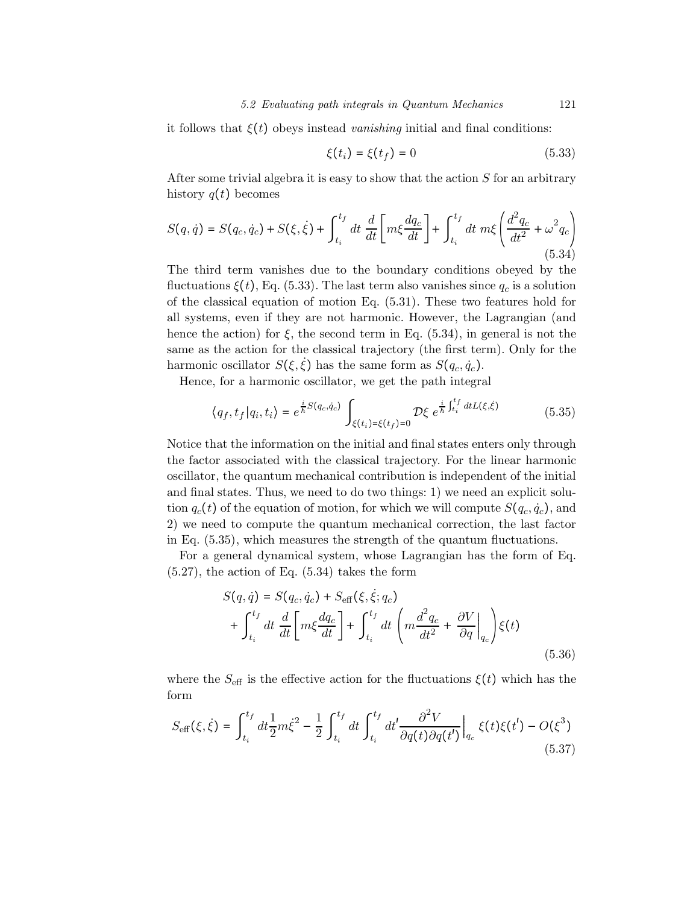it follows that  $\xi(t)$  obeys instead vanishing initial and final conditions:

$$
\xi(t_i) = \xi(t_f) = 0 \tag{5.33}
$$

After some trivial algebra it is easy to show that the action  $S$  for an arbitrary history  $q(t)$  becomes

$$
S(q, \dot{q}) = S(q_c, \dot{q}_c) + S(\xi, \dot{\xi}) + \int_{t_i}^{t_f} dt \frac{d}{dt} \left[ m\xi \frac{dq_c}{dt} \right] + \int_{t_i}^{t_f} dt \ m\xi \left( \frac{d^2 q_c}{dt^2} + \omega^2 q_c \right)
$$
\n(5.34)

The third term vanishes due to the boundary conditions obeyed by the fluctuations  $\xi(t)$ , Eq. (5.33). The last term also vanishes since  $q_c$  is a solution of the classical equation of motion Eq. (5.31). These two features hold for all systems, even if they are not harmonic. However, the Lagrangian (and hence the action) for  $\xi$ , the second term in Eq. (5.34), in general is not the same as the action for the classical trajectory (the first term). Only for the harmonic oscillator  $S(\xi, \dot{\xi})$  has the same form as  $S(q_c, \dot{q}_c)$ .

Hence, for a harmonic oscillator, we get the path integral

$$
\langle q_f, t_f | q_i, t_i \rangle = e^{\frac{i}{\hbar} S(q_c, \dot{q}_c)} \int_{\xi(t_i) = \xi(t_f) = 0} \mathcal{D}\xi \ e^{\frac{i}{\hbar} \int_{t_i}^{t_f} dt L(\xi, \dot{\xi})} \tag{5.35}
$$

Notice that the information on the initial and final states enters only through the factor associated with the classical trajectory. For the linear harmonic oscillator, the quantum mechanical contribution is independent of the initial and final states. Thus, we need to do two things: 1) we need an explicit solution  $q_c(t)$  of the equation of motion, for which we will compute  $S(q_c, \dot{q}_c)$ , and 2) we need to compute the quantum mechanical correction, the last factor in Eq. (5.35), which measures the strength of the quantum fluctuations.

For a general dynamical system, whose Lagrangian has the form of Eq.  $(5.27)$ , the action of Eq.  $(5.34)$  takes the form

$$
S(q, \dot{q}) = S(q_c, \dot{q}_c) + S_{\text{eff}}(\xi, \dot{\xi}; q_c)
$$
  
+ 
$$
\int_{t_i}^{t_f} dt \frac{d}{dt} \left[ m\xi \frac{dq_c}{dt} \right] + \int_{t_i}^{t_f} dt \left( m \frac{d^2 q_c}{dt^2} + \frac{\partial V}{\partial q} \Big|_{q_c} \right) \xi(t)
$$
(5.36)

where the  $S_{\text{eff}}$  is the effective action for the fluctuations  $\xi(t)$  which has the form

$$
S_{\text{eff}}(\xi, \dot{\xi}) = \int_{t_i}^{t_f} dt \frac{1}{2} m \dot{\xi}^2 - \frac{1}{2} \int_{t_i}^{t_f} dt \int_{t_i}^{t_f} dt' \frac{\partial^2 V}{\partial q(t) \partial q(t')} \Big|_{q_c} \xi(t) \xi(t') - O(\xi^3)
$$
(5.37)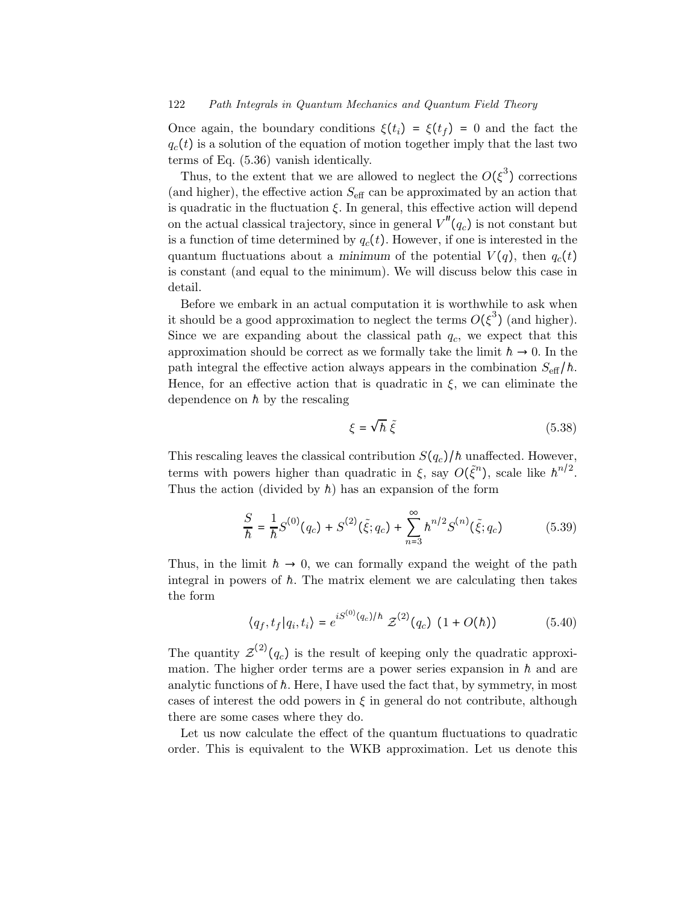Once again, the boundary conditions  $\xi(t_i) = \xi(t_f) = 0$  and the fact the  $q_c(t)$  is a solution of the equation of motion together imply that the last two terms of Eq. (5.36) vanish identically.

Thus, to the extent that we are allowed to neglect the  $O(\xi^3)$  corrections (and higher), the effective action  $S_{\text{eff}}$  can be approximated by an action that is quadratic in the fluctuation  $\xi$ . In general, this effective action will depend on the actual classical trajectory, since in general  $V''(q_c)$  is not constant but is a function of time determined by  $q_c(t)$ . However, if one is interested in the quantum fluctuations about a minimum of the potential  $V(q)$ , then  $q_c(t)$ is constant (and equal to the minimum). We will discuss below this case in detail.

Before we embark in an actual computation it is worthwhile to ask when it should be a good approximation to neglect the terms  $O(\xi^3)$  (and higher). Since we are expanding about the classical path  $q_c$ , we expect that this approximation should be correct as we formally take the limit  $h \to 0$ . In the path integral the effective action always appears in the combination  $S_{\text{eff}}/h$ . Hence, for an effective action that is quadratic in  $\xi$ , we can eliminate the dependence on  $\hbar$  by the rescaling

$$
\xi = \sqrt{\hbar} \; \tilde{\xi} \tag{5.38}
$$

This rescaling leaves the classical contribution  $S(q_c)/\hbar$  unaffected. However, terms with powers higher than quadratic in  $\xi$ , say  $O(\tilde{\xi}^n)$ , scale like  $\hbar^{n/2}$ . Thus the action (divided by  $\hbar$ ) has an expansion of the form

$$
\frac{S}{\hbar} = \frac{1}{\hbar} S^{(0)}(q_c) + S^{(2)}(\tilde{\xi}; q_c) + \sum_{n=3}^{\infty} \hbar^{n/2} S^{(n)}(\tilde{\xi}; q_c)
$$
(5.39)

Thus, in the limit  $h \to 0$ , we can formally expand the weight of the path integral in powers of  $\hbar$ . The matrix element we are calculating then takes the form

$$
\langle q_f, t_f | q_i, t_i \rangle = e^{iS^{(0)}(q_c)/\hbar} \mathcal{Z}^{(2)}(q_c) (1 + O(\hbar))
$$
 (5.40)

The quantity  $\mathcal{Z}^{(2)}(q_c)$  is the result of keeping only the quadratic approximation. The higher order terms are a power series expansion in  $\hbar$  and are analytic functions of  $\hbar$ . Here, I have used the fact that, by symmetry, in most cases of interest the odd powers in  $\xi$  in general do not contribute, although there are some cases where they do.

Let us now calculate the effect of the quantum fluctuations to quadratic order. This is equivalent to the WKB approximation. Let us denote this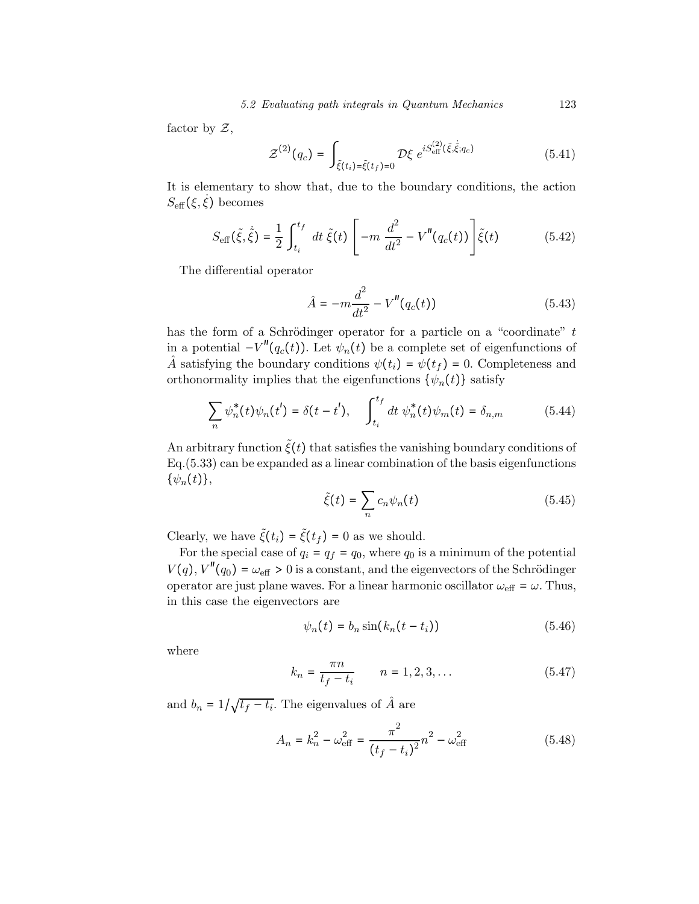factor by  $\mathcal{Z}$ ,

$$
\mathcal{Z}^{(2)}(q_c) = \int_{\tilde{\xi}(t_i) = \tilde{\xi}(t_f) = 0} \mathcal{D}\xi \ e^{iS_{\text{eff}}^{(2)}(\tilde{\xi}, \dot{\tilde{\xi}}; q_c)} \tag{5.41}
$$

It is elementary to show that, due to the boundary conditions, the action  $S_{\text{eff}}(\xi, \dot{\xi})$  becomes

$$
S_{\text{eff}}(\tilde{\xi}, \dot{\tilde{\xi}}) = \frac{1}{2} \int_{t_i}^{t_f} dt \, \tilde{\xi}(t) \left[ -m \, \frac{d^2}{dt^2} - V''(q_c(t)) \right] \tilde{\xi}(t) \tag{5.42}
$$

The differential operator

$$
\hat{A} = -m\frac{d^2}{dt^2} - V''(q_c(t))\tag{5.43}
$$

has the form of a Schrödinger operator for a particle on a "coordinate"  $t$ in a potential  $-V''(q_c(t))$ . Let  $\psi_n(t)$  be a complete set of eigenfunctions of  $\hat{A}$  satisfying the boundary conditions  $\psi(t_i) = \psi(t_f) = 0$ . Completeness and orthonormality implies that the eigenfunctions  $\{\psi_n(t)\}\$  satisfy

$$
\sum_{n} \psi_{n}^{*}(t)\psi_{n}(t') = \delta(t - t'), \quad \int_{t_{i}}^{t_{f}} dt \ \psi_{n}^{*}(t)\psi_{m}(t) = \delta_{n,m} \tag{5.44}
$$

An arbitrary function  $\tilde{\xi}(t)$  that satisfies the vanishing boundary conditions of Eq.(5.33) can be expanded as a linear combination of the basis eigenfunctions  $\{\psi_n(t)\},\$ 

$$
\tilde{\xi}(t) = \sum_{n} c_n \psi_n(t) \tag{5.45}
$$

Clearly, we have  $\tilde{\xi}(t_i) = \tilde{\xi}(t_f) = 0$  as we should.

For the special case of  $q_i = q_f = q_0$ , where  $q_0$  is a minimum of the potential  $V(q)$ ,  $V''(q_0) = \omega_{\text{eff}} > 0$  is a constant, and the eigenvectors of the Schrödinger operator are just plane waves. For a linear harmonic oscillator  $\omega_{\text{eff}} = \omega$ . Thus, in this case the eigenvectors are

$$
\psi_n(t) = b_n \sin(k_n(t - t_i)) \tag{5.46}
$$

where

$$
k_n = \frac{\pi n}{t_f - t_i} \qquad n = 1, 2, 3, \dots \tag{5.47}
$$

and  $b_n = 1/\sqrt{t_f - t_i}$ . The eigenvalues of  $\hat{A}$  are

$$
A_n = k_n^2 - \omega_{\text{eff}}^2 = \frac{\pi^2}{(t_f - t_i)^2} n^2 - \omega_{\text{eff}}^2 \tag{5.48}
$$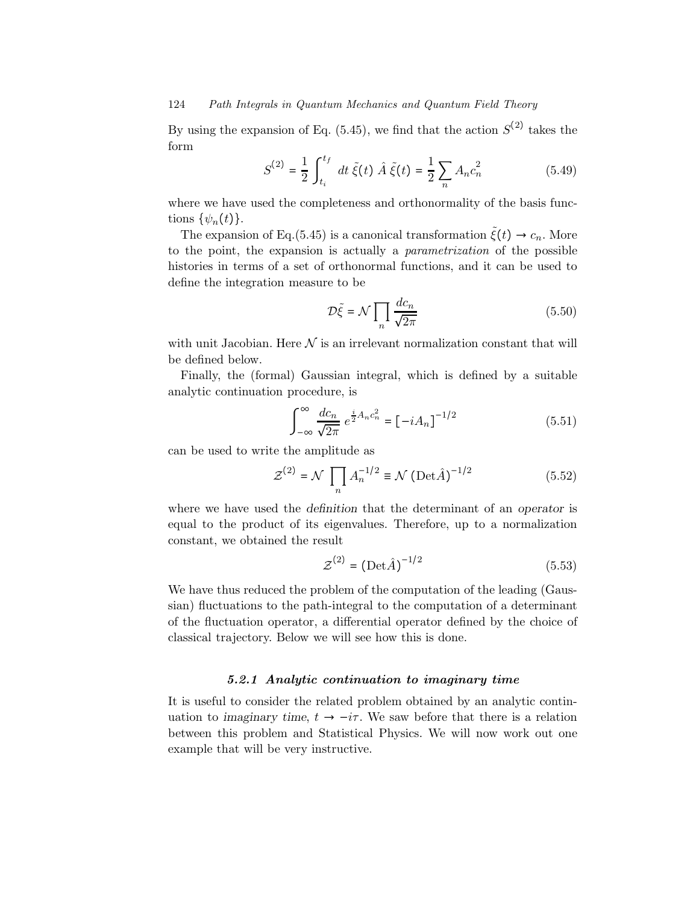By using the expansion of Eq. (5.45), we find that the action  $S^{(2)}$  takes the form

$$
S^{(2)} = \frac{1}{2} \int_{t_i}^{t_f} dt \, \tilde{\xi}(t) \, \hat{A} \, \tilde{\xi}(t) = \frac{1}{2} \sum_n A_n c_n^2 \tag{5.49}
$$

where we have used the completeness and orthonormality of the basis functions  $\{\psi_n(t)\}.$ 

The expansion of Eq.(5.45) is a canonical transformation  $\tilde{\xi}(t) \rightarrow c_n$ . More to the point, the expansion is actually a parametrization of the possible histories in terms of a set of orthonormal functions, and it can be used to define the integration measure to be

$$
\mathcal{D}\tilde{\xi} = \mathcal{N} \prod_{n} \frac{dc_n}{\sqrt{2\pi}} \tag{5.50}
$$

with unit Jacobian. Here  $\mathcal N$  is an irrelevant normalization constant that will be defined below.

Finally, the (formal) Gaussian integral, which is defined by a suitable analytic continuation procedure, is

$$
\int_{-\infty}^{\infty} \frac{dc_n}{\sqrt{2\pi}} e^{\frac{i}{2}A_n c_n^2} = [-iA_n]^{-1/2}
$$
 (5.51)

can be used to write the amplitude as

$$
\mathcal{Z}^{(2)} = \mathcal{N} \prod_{n} A_n^{-1/2} \equiv \mathcal{N} \left( \text{Det} \hat{A} \right)^{-1/2} \tag{5.52}
$$

where we have used the definition that the determinant of an operator is equal to the product of its eigenvalues. Therefore, up to a normalization constant, we obtained the result

$$
\mathcal{Z}^{(2)} = \left(\mathrm{Det}\hat{A}\right)^{-1/2} \tag{5.53}
$$

We have thus reduced the problem of the computation of the leading (Gaussian) fluctuations to the path-integral to the computation of a determinant of the fluctuation operator, a differential operator defined by the choice of classical trajectory. Below we will see how this is done.

#### 5.2.1 Analytic continuation to imaginary time

It is useful to consider the related problem obtained by an analytic continuation to imaginary time,  $t \to -i\tau$ . We saw before that there is a relation between this problem and Statistical Physics. We will now work out one example that will be very instructive.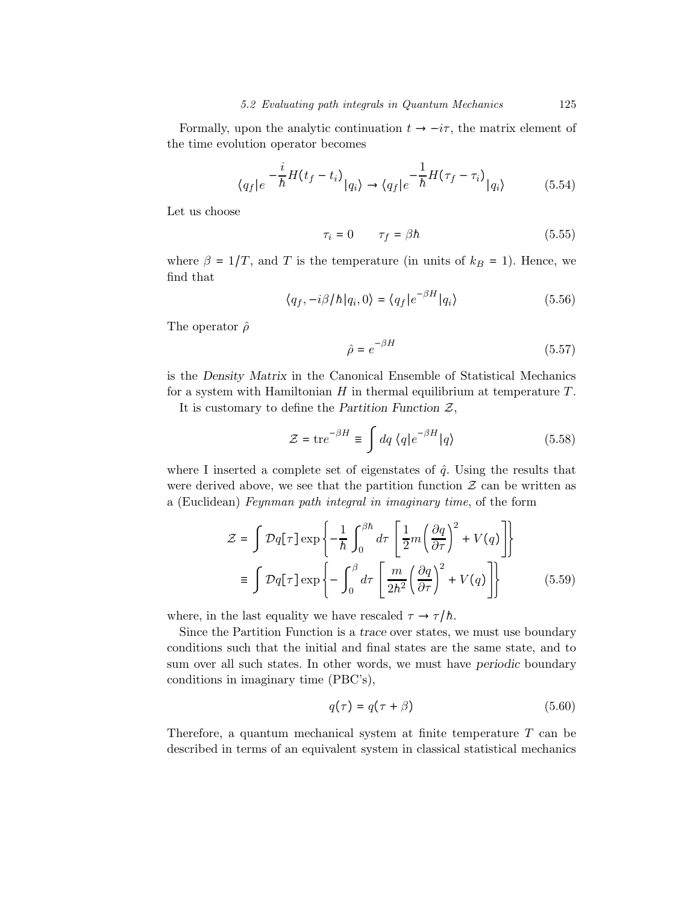Formally, upon the analytic continuation  $t \to -i\tau$ , the matrix element of the time evolution operator becomes

$$
\langle q_f | e^{-\frac{i}{\hbar}H(t_f - t_i)} | q_i \rangle \to \langle q_f | e^{-\frac{1}{\hbar}H(\tau_f - \tau_i)} | q_i \rangle \tag{5.54}
$$

Let us choose

$$
\tau_i = 0 \qquad \tau_f = \beta \hbar \tag{5.55}
$$

where  $\beta = 1/T$ , and T is the temperature (in units of  $k_B = 1$ ). Hence, we find that

$$
\langle q_f, -i\beta/h | q_i, 0 \rangle = \langle q_f | e^{-\beta H} | q_i \rangle \tag{5.56}
$$

The operator  $\hat{\rho}$ 

$$
\hat{\rho} = e^{-\beta H} \tag{5.57}
$$

is the Density Matrix in the Canonical Ensemble of Statistical Mechanics for a system with Hamiltonian  $H$  in thermal equilibrium at temperature  $T$ .

It is customary to define the Partition Function  $\mathcal{Z}$ ,

$$
\mathcal{Z} = \text{tr}e^{-\beta H} \equiv \int dq \langle q|e^{-\beta H}|q\rangle \tag{5.58}
$$

where I inserted a complete set of eigenstates of  $\hat{q}$ . Using the results that were derived above, we see that the partition function  $\mathcal Z$  can be written as a (Euclidean) Feynman path integral in imaginary time, of the form

$$
\mathcal{Z} = \int \mathcal{D}q[\tau] \exp\left\{-\frac{1}{\hbar} \int_0^{\beta \hbar} d\tau \left[\frac{1}{2}m\left(\frac{\partial q}{\partial \tau}\right)^2 + V(q)\right]\right\}
$$

$$
\equiv \int \mathcal{D}q[\tau] \exp\left\{-\int_0^{\beta} d\tau \left[\frac{m}{2\hbar^2} \left(\frac{\partial q}{\partial \tau}\right)^2 + V(q)\right]\right\} \tag{5.59}
$$

where, in the last equality we have rescaled  $\tau \to \tau/h$ .

Since the Partition Function is a trace over states, we must use boundary conditions such that the initial and final states are the same state, and to sum over all such states. In other words, we must have periodic boundary conditions in imaginary time (PBC's),

$$
q(\tau) = q(\tau + \beta) \tag{5.60}
$$

Therefore, a quantum mechanical system at finite temperature  $T$  can be described in terms of an equivalent system in classical statistical mechanics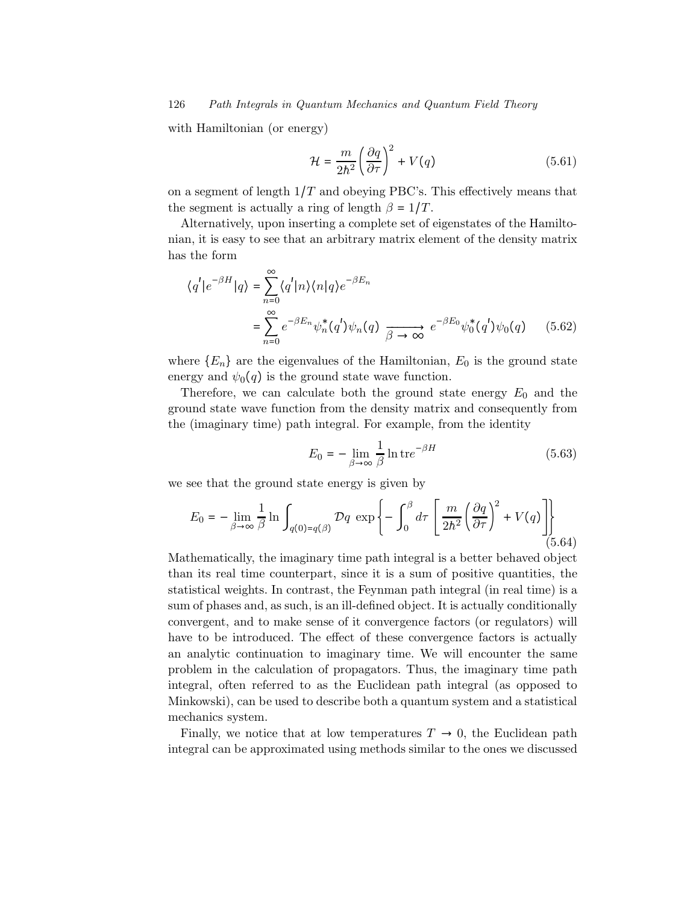with Hamiltonian (or energy)

$$
\mathcal{H} = \frac{m}{2h^2} \left(\frac{\partial q}{\partial \tau}\right)^2 + V(q) \tag{5.61}
$$

on a segment of length  $1/T$  and obeying PBC's. This effectively means that the segment is actually a ring of length  $\beta = 1/T$ .

Alternatively, upon inserting a complete set of eigenstates of the Hamiltonian, it is easy to see that an arbitrary matrix element of the density matrix has the form

$$
\langle q' | e^{-\beta H} | q \rangle = \sum_{n=0}^{\infty} \langle q' | n \rangle \langle n | q \rangle e^{-\beta E_n}
$$
  
= 
$$
\sum_{n=0}^{\infty} e^{-\beta E_n} \psi_n^*(q') \psi_n(q) \xrightarrow[\beta \to \infty]{} e^{-\beta E_0} \psi_0^*(q') \psi_0(q)
$$
(5.62)

where  ${E_n}$  are the eigenvalues of the Hamiltonian,  $E_0$  is the ground state energy and  $\psi_0(q)$  is the ground state wave function.

Therefore, we can calculate both the ground state energy  $E_0$  and the ground state wave function from the density matrix and consequently from the (imaginary time) path integral. For example, from the identity

$$
E_0 = -\lim_{\beta \to \infty} \frac{1}{\beta} \ln \text{tr} e^{-\beta H} \tag{5.63}
$$

we see that the ground state energy is given by

$$
E_0 = -\lim_{\beta \to \infty} \frac{1}{\beta} \ln \int_{q(0) = q(\beta)} \mathcal{D}q \, \exp\left\{-\int_0^\beta d\tau \left[\frac{m}{2\hbar^2} \left(\frac{\partial q}{\partial \tau}\right)^2 + V(q)\right]\right\}
$$
(5.64)

Mathematically, the imaginary time path integral is a better behaved object than its real time counterpart, since it is a sum of positive quantities, the statistical weights. In contrast, the Feynman path integral (in real time) is a sum of phases and, as such, is an ill-defined object. It is actually conditionally convergent, and to make sense of it convergence factors (or regulators) will have to be introduced. The effect of these convergence factors is actually an analytic continuation to imaginary time. We will encounter the same problem in the calculation of propagators. Thus, the imaginary time path integral, often referred to as the Euclidean path integral (as opposed to Minkowski), can be used to describe both a quantum system and a statistical mechanics system.

Finally, we notice that at low temperatures  $T \to 0$ , the Euclidean path integral can be approximated using methods similar to the ones we discussed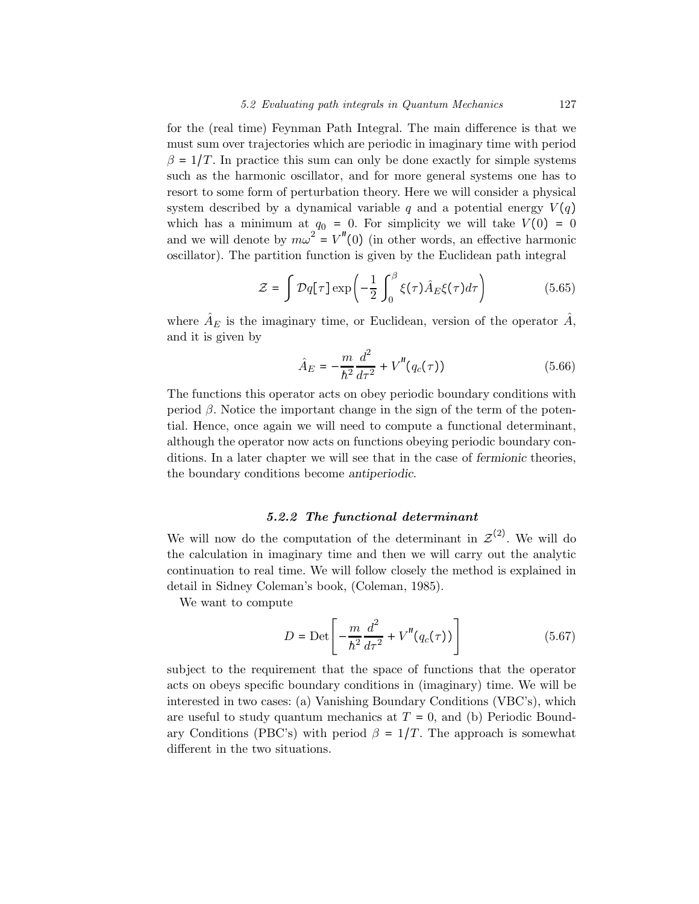for the (real time) Feynman Path Integral. The main difference is that we must sum over trajectories which are periodic in imaginary time with period  $\beta = 1/T$ . In practice this sum can only be done exactly for simple systems such as the harmonic oscillator, and for more general systems one has to resort to some form of perturbation theory. Here we will consider a physical system described by a dynamical variable q and a potential energy  $V(q)$ which has a minimum at  $q_0 = 0$ . For simplicity we will take  $V(0) = 0$ and we will denote by  $m\omega^2 = V''(0)$  (in other words, an effective harmonic oscillator). The partition function is given by the Euclidean path integral

$$
\mathcal{Z} = \int \mathcal{D}q[\tau] \exp\left(-\frac{1}{2} \int_0^\beta \xi(\tau) \hat{A}_E \xi(\tau) d\tau\right) \tag{5.65}
$$

where  $\hat{A}_E$  is the imaginary time, or Euclidean, version of the operator  $\hat{A}$ , and it is given by

$$
\hat{A}_E = -\frac{m}{\hbar^2} \frac{d^2}{d\tau^2} + V''(q_c(\tau))
$$
\n(5.66)

The functions this operator acts on obey periodic boundary conditions with period β. Notice the important change in the sign of the term of the potential. Hence, once again we will need to compute a functional determinant, although the operator now acts on functions obeying periodic boundary conditions. In a later chapter we will see that in the case of fermionic theories, the boundary conditions become antiperiodic.

#### 5.2.2 The functional determinant

We will now do the computation of the determinant in  $\mathcal{Z}^{(2)}$ . We will do the calculation in imaginary time and then we will carry out the analytic continuation to real time. We will follow closely the method is explained in detail in Sidney Coleman's book, (Coleman, 1985).

We want to compute

$$
D = \text{Det}\left[-\frac{m}{\hbar^2}\frac{d^2}{d\tau^2} + V''(q_c(\tau))\right]
$$
 (5.67)

subject to the requirement that the space of functions that the operator acts on obeys specific boundary conditions in (imaginary) time. We will be interested in two cases: (a) Vanishing Boundary Conditions (VBC's), which are useful to study quantum mechanics at  $T = 0$ , and (b) Periodic Boundary Conditions (PBC's) with period  $\beta = 1/T$ . The approach is somewhat different in the two situations.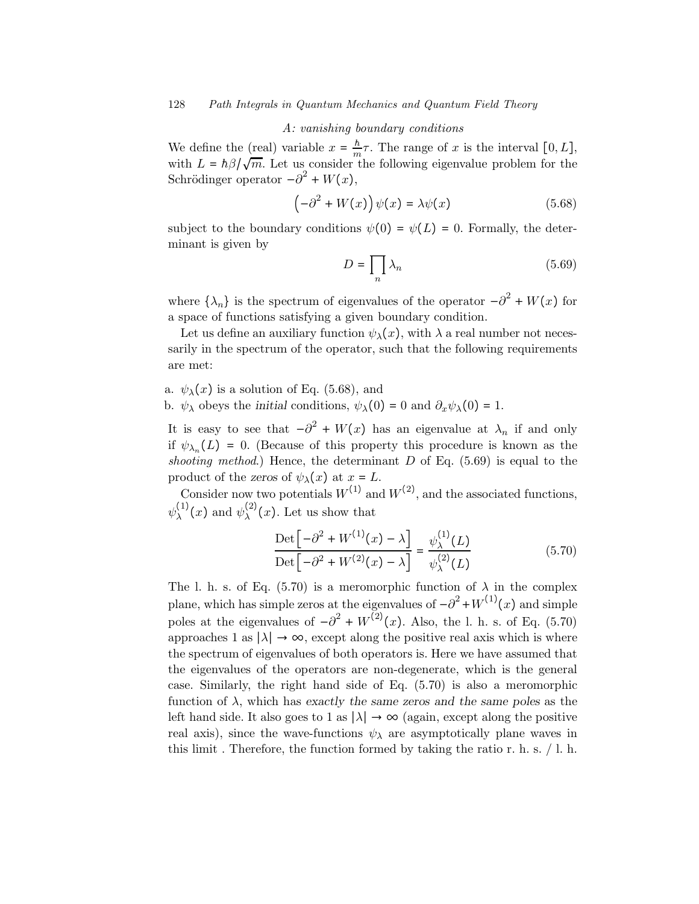#### A: vanishing boundary conditions

We define the (real) variable  $x = \frac{h}{m}\tau$ . The range of x is the interval [0, L], with  $L = \hbar \beta / \sqrt{m}$ . Let us consider the following eigenvalue problem for the Schrödinger operator  $-\partial^2 + W(x)$ ,

$$
\left(-\partial^2 + W(x)\right)\psi(x) = \lambda\psi(x) \tag{5.68}
$$

subject to the boundary conditions  $\psi(0) = \psi(L) = 0$ . Formally, the determinant is given by

$$
D = \prod_{n} \lambda_n \tag{5.69}
$$

where  $\{\lambda_n\}$  is the spectrum of eigenvalues of the operator  $-\partial^2 + W(x)$  for a space of functions satisfying a given boundary condition.

Let us define an auxiliary function  $\psi_{\lambda}(x)$ , with  $\lambda$  a real number not necessarily in the spectrum of the operator, such that the following requirements are met:

a.  $\psi_{\lambda}(x)$  is a solution of Eq. (5.68), and

b.  $\psi_{\lambda}$  obeys the initial conditions,  $\psi_{\lambda}(0) = 0$  and  $\partial_x \psi_{\lambda}(0) = 1$ .

It is easy to see that  $-\partial^2 + W(x)$  has an eigenvalue at  $\lambda_n$  if and only if  $\psi_{\lambda_n}(L) = 0$ . (Because of this property this procedure is known as the shooting method.) Hence, the determinant  $D$  of Eq. (5.69) is equal to the product of the zeros of  $\psi_{\lambda}(x)$  at  $x = L$ .

Consider now two potentials  $W^{(1)}$  and  $W^{(2)}$ , and the associated functions,  $\psi_{\lambda}^{(1)}(x)$  and  $\psi_{\lambda}^{(2)}(x)$ . Let us show that

$$
\frac{\text{Det}\left[-\partial^2 + W^{(1)}(x) - \lambda\right]}{\text{Det}\left[-\partial^2 + W^{(2)}(x) - \lambda\right]} = \frac{\psi_{\lambda}^{(1)}(L)}{\psi_{\lambda}^{(2)}(L)}\tag{5.70}
$$

The l. h. s. of Eq. (5.70) is a meromorphic function of  $\lambda$  in the complex plane, which has simple zeros at the eigenvalues of  $-\partial^2 + W^{(1)}(x)$  and simple poles at the eigenvalues of  $-\partial^2 + W^{(2)}(x)$ . Also, the l. h. s. of Eq. (5.70) approaches 1 as  $|\lambda| \to \infty$ , except along the positive real axis which is where the spectrum of eigenvalues of both operators is. Here we have assumed that the eigenvalues of the operators are non-degenerate, which is the general case. Similarly, the right hand side of Eq. (5.70) is also a meromorphic function of  $\lambda$ , which has exactly the same zeros and the same poles as the left hand side. It also goes to 1 as  $|\lambda| \to \infty$  (again, except along the positive real axis), since the wave-functions  $\psi_{\lambda}$  are asymptotically plane waves in this limit . Therefore, the function formed by taking the ratio r. h. s. / l. h.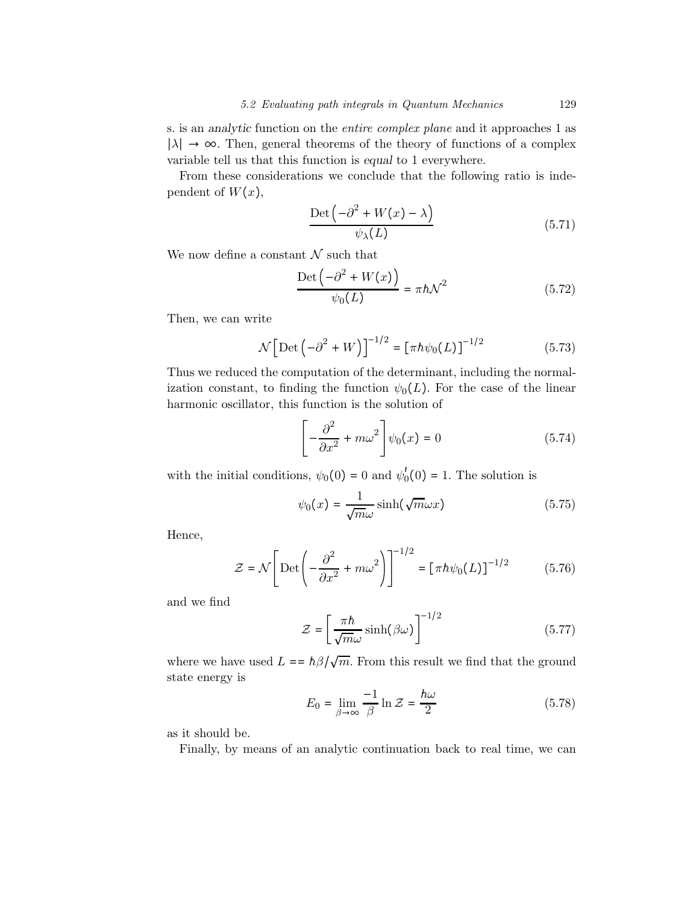s. is an analytic function on the entire complex plane and it approaches 1 as  $|\lambda|$  → ∞. Then, general theorems of the theory of functions of a complex variable tell us that this function is equal to 1 everywhere.

From these considerations we conclude that the following ratio is independent of  $W(x)$ ,

$$
\frac{\text{Det}\left(-\partial^2 + W(x) - \lambda\right)}{\psi_\lambda(L)}
$$
(5.71)

We now define a constant  $N$  such that

$$
\frac{\text{Det}\left(-\partial^2 + W(x)\right)}{\psi_0(L)} = \pi \hbar \mathcal{N}^2 \tag{5.72}
$$

Then, we can write

$$
\mathcal{N}\left[\text{Det}\left(-\partial^2 + W\right)\right]^{-1/2} = \left[\pi h \psi_0(L)\right]^{-1/2} \tag{5.73}
$$

Thus we reduced the computation of the determinant, including the normalization constant, to finding the function  $\psi_0(L)$ . For the case of the linear harmonic oscillator, this function is the solution of

$$
\left[-\frac{\partial^2}{\partial x^2} + m\omega^2\right]\psi_0(x) = 0\tag{5.74}
$$

with the initial conditions,  $\psi_0(0) = 0$  and  $\psi_0'(0) = 1$ . The solution is

$$
\psi_0(x) = \frac{1}{\sqrt{m}\omega} \sinh(\sqrt{m}\omega x) \tag{5.75}
$$

Hence,

$$
\mathcal{Z} = \mathcal{N} \left[ \text{Det} \left( -\frac{\partial^2}{\partial x^2} + m\omega^2 \right) \right]^{-1/2} = \left[ \pi \hbar \psi_0(L) \right]^{-1/2} \tag{5.76}
$$

and we find

$$
\mathcal{Z} = \left[\frac{\pi h}{\sqrt{m}\omega} \sinh(\beta \omega)\right]^{-1/2} \tag{5.77}
$$

where we have used  $L = \hbar \beta / \sqrt{m}$ . From this result we find that the ground state energy is

$$
E_0 = \lim_{\beta \to \infty} \frac{-1}{\beta} \ln \mathcal{Z} = \frac{\hbar \omega}{2}
$$
 (5.78)

as it should be.

Finally, by means of an analytic continuation back to real time, we can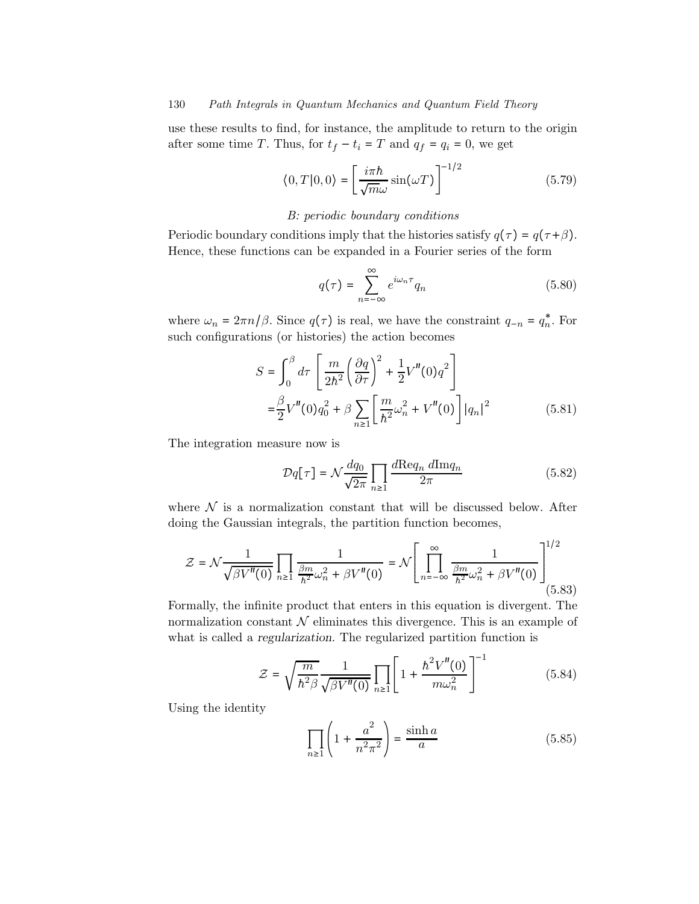use these results to find, for instance, the amplitude to return to the origin after some time T. Thus, for  $t_f - t_i = T$  and  $q_f = q_i = 0$ , we get

$$
\langle 0, T | 0, 0 \rangle = \left[ \frac{i\pi \hbar}{\sqrt{m}\omega} \sin(\omega T) \right]^{-1/2}
$$
 (5.79)

#### B: periodic boundary conditions

Periodic boundary conditions imply that the histories satisfy  $q(\tau) = q(\tau + \beta)$ . Hence, these functions can be expanded in a Fourier series of the form

$$
q(\tau) = \sum_{n = -\infty}^{\infty} e^{i\omega_n \tau} q_n \tag{5.80}
$$

where  $\omega_n = 2\pi n/\beta$ . Since  $q(\tau)$  is real, we have the constraint  $q_{-n} = q_n^*$ . For such configurations (or histories) the action becomes

$$
S = \int_0^{\beta} d\tau \left[ \frac{m}{2\hbar^2} \left( \frac{\partial q}{\partial \tau} \right)^2 + \frac{1}{2} V''(0) q^2 \right] = \frac{\beta}{2} V''(0) q_0^2 + \beta \sum_{n \ge 1} \left[ \frac{m}{\hbar^2} \omega_n^2 + V''(0) \right] |q_n|^2
$$
(5.81)

The integration measure now is

$$
\mathcal{D}q[\tau] = \mathcal{N}\frac{dq_0}{\sqrt{2\pi}} \prod_{n\geq 1} \frac{d\text{Re}q_n \ d\text{Im}q_n}{2\pi} \tag{5.82}
$$

where  $\mathcal N$  is a normalization constant that will be discussed below. After doing the Gaussian integrals, the partition function becomes,

$$
\mathcal{Z} = \mathcal{N} \frac{1}{\sqrt{\beta V''(0)}} \prod_{n \ge 1} \frac{1}{\frac{\beta m}{h^2} \omega_n^2 + \beta V''(0)} = \mathcal{N} \left[ \prod_{n = -\infty}^{\infty} \frac{1}{\frac{\beta m}{h^2} \omega_n^2 + \beta V''(0)} \right]_{(5.83)}^{1/2}
$$

Formally, the infinite product that enters in this equation is divergent. The normalization constant  $\mathcal N$  eliminates this divergence. This is an example of what is called a regularization. The regularized partition function is

$$
\mathcal{Z} = \sqrt{\frac{m}{\hbar^2 \beta}} \frac{1}{\sqrt{\beta V''(0)}} \prod_{n \ge 1} \left[ 1 + \frac{\hbar^2 V''(0)}{m \omega_n^2} \right]^{-1} \tag{5.84}
$$

Using the identity

$$
\prod_{n\geq 1} \left( 1 + \frac{a^2}{n^2 \pi^2} \right) = \frac{\sinh a}{a} \tag{5.85}
$$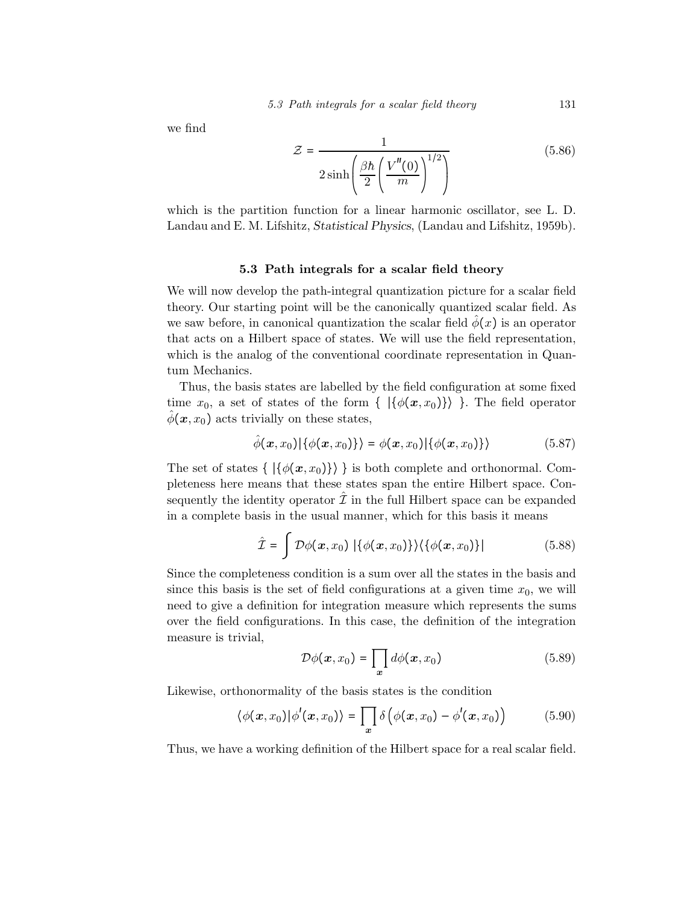we find

$$
\mathcal{Z} = \frac{1}{2\sinh\left(\frac{\beta\hbar}{2}\left(\frac{V''(0)}{m}\right)^{1/2}\right)}
$$
(5.86)

which is the partition function for a linear harmonic oscillator, see L. D. Landau and E. M. Lifshitz, Statistical Physics, (Landau and Lifshitz, 1959b).

## 5.3 Path integrals for a scalar field theory

We will now develop the path-integral quantization picture for a scalar field theory. Our starting point will be the canonically quantized scalar field. As we saw before, in canonical quantization the scalar field  $\hat{\phi}(x)$  is an operator that acts on a Hilbert space of states. We will use the field representation, which is the analog of the conventional coordinate representation in Quantum Mechanics.

Thus, the basis states are labelled by the field configuration at some fixed time  $x_0$ , a set of states of the form {  $|\{\phi(x,x_0)\}\rangle$ }. The field operator  $\phi(\mathbf{x}, x_0)$  acts trivially on these states,

$$
\hat{\phi}(\boldsymbol{x},x_0)|\{\phi(\boldsymbol{x},x_0)\}\rangle = \phi(\boldsymbol{x},x_0)|\{\phi(\boldsymbol{x},x_0)\}\rangle \tag{5.87}
$$

The set of states  $\{ |\{\phi(x, x_0)\}\rangle \}$  is both complete and orthonormal. Completeness here means that these states span the entire Hilbert space. Consequently the identity operator  $\hat{\mathcal{I}}$  in the full Hilbert space can be expanded in a complete basis in the usual manner, which for this basis it means

$$
\hat{\mathcal{I}} = \int \mathcal{D}\phi(\boldsymbol{x}, x_0) \left| \{ \phi(\boldsymbol{x}, x_0) \} \right\rangle \left\langle \{ \phi(\boldsymbol{x}, x_0) \} \right| \tag{5.88}
$$

Since the completeness condition is a sum over all the states in the basis and since this basis is the set of field configurations at a given time  $x_0$ , we will need to give a definition for integration measure which represents the sums over the field configurations. In this case, the definition of the integration measure is trivial,

$$
\mathcal{D}\phi(\boldsymbol{x},x_0) = \prod_{\boldsymbol{x}} d\phi(\boldsymbol{x},x_0) \tag{5.89}
$$

Likewise, orthonormality of the basis states is the condition

$$
\langle \phi(\mathbf{x}, x_0) | \phi'(\mathbf{x}, x_0) \rangle = \prod_{\mathbf{x}} \delta \left( \phi(\mathbf{x}, x_0) - \phi'(\mathbf{x}, x_0) \right) \tag{5.90}
$$

Thus, we have a working definition of the Hilbert space for a real scalar field.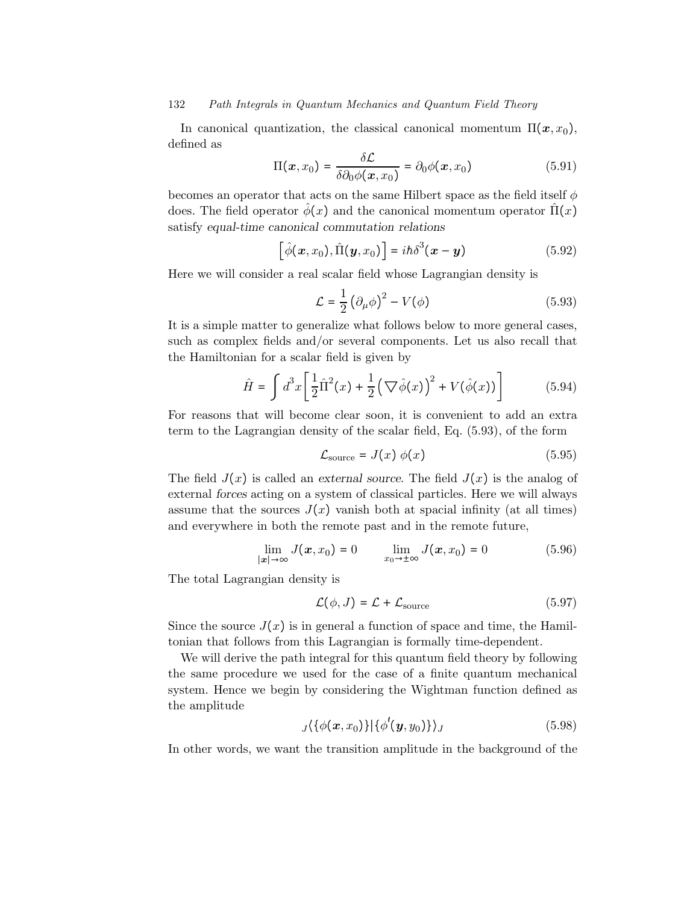In canonical quantization, the classical canonical momentum  $\Pi(\mathbf{x}, x_0)$ , defined as

$$
\Pi(x, x_0) = \frac{\delta \mathcal{L}}{\delta \partial_0 \phi(x, x_0)} = \partial_0 \phi(x, x_0)
$$
\n(5.91)

becomes an operator that acts on the same Hilbert space as the field itself  $\phi$ does. The field operator  $\phi(x)$  and the canonical momentum operator  $\Pi(x)$ satisfy equal-time canonical commutation relations

$$
\left[\hat{\phi}(\boldsymbol{x},x_0),\hat{\Pi}(\boldsymbol{y},x_0)\right]=i\hbar\delta^3(\boldsymbol{x}-\boldsymbol{y})
$$
\n(5.92)

Here we will consider a real scalar field whose Lagrangian density is

$$
\mathcal{L} = \frac{1}{2} \left( \partial_{\mu} \phi \right)^2 - V(\phi) \tag{5.93}
$$

It is a simple matter to generalize what follows below to more general cases, such as complex fields and/or several components. Let us also recall that the Hamiltonian for a scalar field is given by

$$
\hat{H} = \int d^3x \left[ \frac{1}{2} \hat{\Pi}^2(x) + \frac{1}{2} \left( \nabla \hat{\phi}(x) \right)^2 + V(\hat{\phi}(x)) \right] \tag{5.94}
$$

For reasons that will become clear soon, it is convenient to add an extra term to the Lagrangian density of the scalar field, Eq. (5.93), of the form

$$
\mathcal{L}_{\text{source}} = J(x) \phi(x) \tag{5.95}
$$

The field  $J(x)$  is called an external source. The field  $J(x)$  is the analog of external forces acting on a system of classical particles. Here we will always assume that the sources  $J(x)$  vanish both at spacial infinity (at all times) and everywhere in both the remote past and in the remote future,

$$
\lim_{|\mathbf{x}| \to \infty} J(\mathbf{x}, x_0) = 0 \qquad \lim_{x_0 \to \pm \infty} J(\mathbf{x}, x_0) = 0 \tag{5.96}
$$

The total Lagrangian density is

$$
\mathcal{L}(\phi, J) = \mathcal{L} + \mathcal{L}_{\text{source}} \tag{5.97}
$$

Since the source  $J(x)$  is in general a function of space and time, the Hamiltonian that follows from this Lagrangian is formally time-dependent.

We will derive the path integral for this quantum field theory by following the same procedure we used for the case of a finite quantum mechanical system. Hence we begin by considering the Wightman function defined as the amplitude

$$
J\langle \{\phi(\boldsymbol{x},x_0)\}\,|\{\phi'(\boldsymbol{y},y_0)\}\rangle_J\tag{5.98}
$$

In other words, we want the transition amplitude in the background of the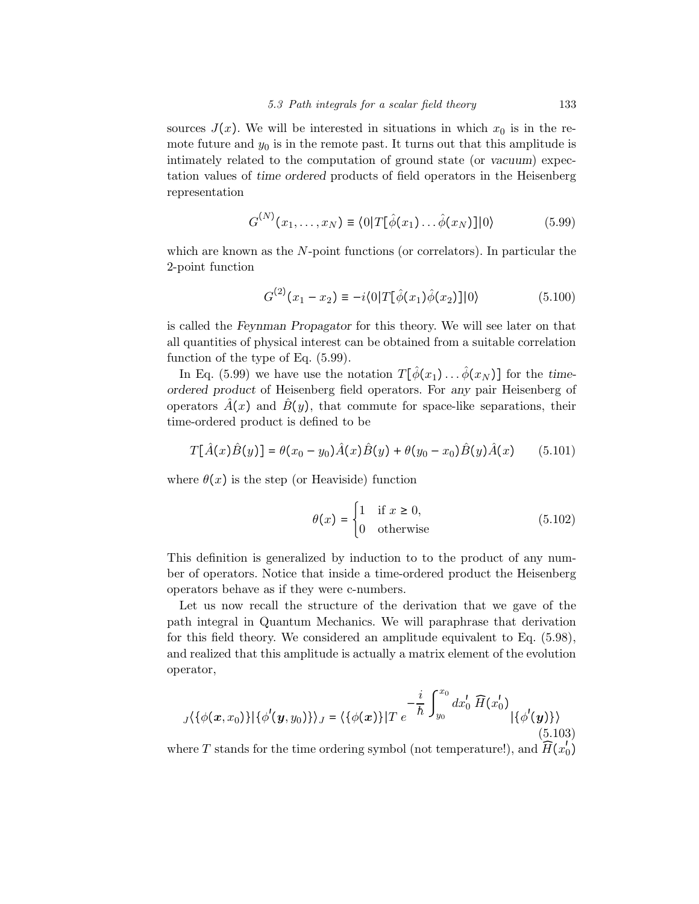sources  $J(x)$ . We will be interested in situations in which  $x_0$  is in the remote future and  $y_0$  is in the remote past. It turns out that this amplitude is intimately related to the computation of ground state (or vacuum) expectation values of time ordered products of field operators in the Heisenberg representation

$$
G^{(N)}(x_1,\ldots,x_N) \equiv \langle 0|T[\hat{\phi}(x_1)\ldots\hat{\phi}(x_N)]|0\rangle \tag{5.99}
$$

which are known as the N-point functions (or correlators). In particular the 2-point function

$$
G^{(2)}(x_1 - x_2) \equiv -i \langle 0|T[\hat{\phi}(x_1)\hat{\phi}(x_2)]|0\rangle \tag{5.100}
$$

is called the Feynman Propagator for this theory. We will see later on that all quantities of physical interest can be obtained from a suitable correlation function of the type of Eq. (5.99).

In Eq. (5.99) we have use the notation  $T[\hat{\phi}(x_1) \dots \hat{\phi}(x_N)]$  for the timeordered product of Heisenberg field operators. For any pair Heisenberg of operators  $\hat{A}(x)$  and  $\hat{B}(y)$ , that commute for space-like separations, their time-ordered product is defined to be

$$
T[\hat{A}(x)\hat{B}(y)] = \theta(x_0 - y_0)\hat{A}(x)\hat{B}(y) + \theta(y_0 - x_0)\hat{B}(y)\hat{A}(x)
$$
(5.101)

where  $\theta(x)$  is the step (or Heaviside) function

$$
\theta(x) = \begin{cases} 1 & \text{if } x \ge 0, \\ 0 & \text{otherwise} \end{cases}
$$
 (5.102)

This definition is generalized by induction to to the product of any number of operators. Notice that inside a time-ordered product the Heisenberg operators behave as if they were c-numbers.

Let us now recall the structure of the derivation that we gave of the path integral in Quantum Mechanics. We will paraphrase that derivation for this field theory. We considered an amplitude equivalent to Eq. (5.98), and realized that this amplitude is actually a matrix element of the evolution operator,

$$
J\{\{\phi(\mathbf{x},x_0)\}\}\{\phi'(\mathbf{y},y_0)\}\}_J = \{\{\phi(\mathbf{x})\}\]T e^{-\frac{i}{\hbar}\int_{y_0}^{x_0} dx'_0 \, \widehat{H}(x'_0)}\}
$$
\n(5.103)

where T stands for the time ordering symbol (not temperature!), and  $\widehat{H}(x_0')$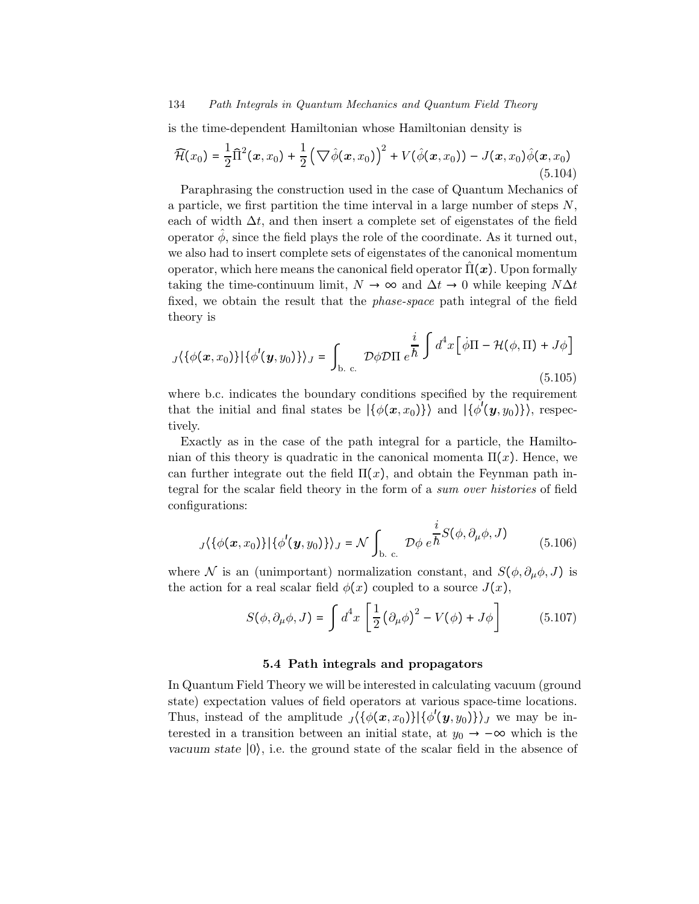is the time-dependent Hamiltonian whose Hamiltonian density is

$$
\widehat{\mathcal{H}}(x_0) = \frac{1}{2}\widehat{\Pi}^2(x, x_0) + \frac{1}{2}(\nabla \widehat{\phi}(x, x_0))^2 + V(\widehat{\phi}(x, x_0)) - J(x, x_0)\widehat{\phi}(x, x_0)
$$
\n(5.104)

Paraphrasing the construction used in the case of Quantum Mechanics of a particle, we first partition the time interval in a large number of steps N, each of width  $\Delta t$ , and then insert a complete set of eigenstates of the field operator  $\phi$ , since the field plays the role of the coordinate. As it turned out, we also had to insert complete sets of eigenstates of the canonical momentum operator, which here means the canonical field operator  $\hat{\Pi}(x)$ . Upon formally taking the time-continuum limit,  $N \to \infty$  and  $\Delta t \to 0$  while keeping  $N\Delta t$ fixed, we obtain the result that the phase-space path integral of the field theory is

$$
J\langle \{\phi(\mathbf{x},x_0)\}\,|\{\phi'(\mathbf{y},y_0)\}\rangle_J = \int_{\text{b. c.}} \mathcal{D}\phi \mathcal{D}\Pi \, e^{\frac{i}{\hbar} \int d^4x \left[\dot{\phi}\Pi - \mathcal{H}(\phi,\Pi) + J\phi\right]} \tag{5.105}
$$

where b.c. indicates the boundary conditions specified by the requirement that the initial and final states be  $|\{\phi(x,x_0)\}\rangle$  and  $|\{\phi'(y,y_0)\}\rangle$ , respectively.

Exactly as in the case of the path integral for a particle, the Hamiltonian of this theory is quadratic in the canonical momenta  $\Pi(x)$ . Hence, we can further integrate out the field  $\Pi(x)$ , and obtain the Feynman path integral for the scalar field theory in the form of a sum over histories of field configurations:

$$
J\langle \{\phi(\boldsymbol{x},x_0)\}\,|\{\phi'(\boldsymbol{y},y_0)\}\rangle_J = \mathcal{N} \int_{\text{b. c.}} \mathcal{D}\phi \, e^{\frac{i}{\hbar}S(\phi,\,\partial_\mu\phi,\,J)} \tag{5.106}
$$

where N is an (unimportant) normalization constant, and  $S(\phi, \partial_{\mu}\phi, J)$  is the action for a real scalar field  $\phi(x)$  coupled to a source  $J(x)$ ,

$$
S(\phi, \partial_{\mu}\phi, J) = \int d^4x \left[ \frac{1}{2} \left( \partial_{\mu}\phi \right)^2 - V(\phi) + J\phi \right] \tag{5.107}
$$

#### 5.4 Path integrals and propagators

In Quantum Field Theory we will be interested in calculating vacuum (ground state) expectation values of field operators at various space-time locations. Thus, instead of the amplitude  $\sqrt{\{\phi(x, x_0)\}\{\phi'(y, y_0)\}\}_J$  we may be interested in a transition between an initial state, at  $y_0 \rightarrow -\infty$  which is the vacuum state  $|0\rangle$ , i.e. the ground state of the scalar field in the absence of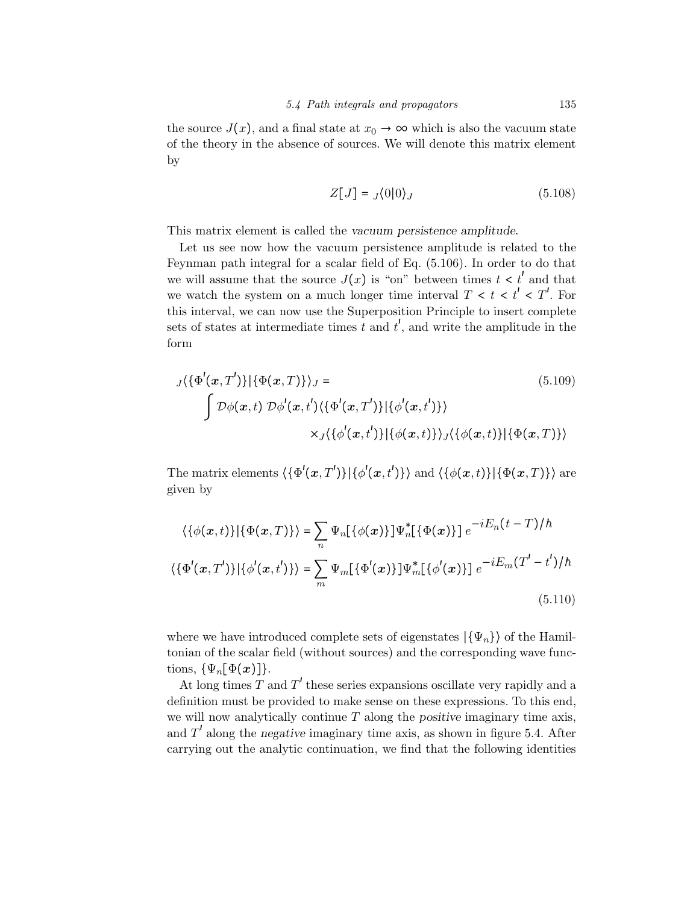the source  $J(x)$ , and a final state at  $x_0 \to \infty$  which is also the vacuum state of the theory in the absence of sources. We will denote this matrix element by

$$
Z[J] = J\langle 0|0 \rangle_J \tag{5.108}
$$

This matrix element is called the vacuum persistence amplitude.

Let us see now how the vacuum persistence amplitude is related to the Feynman path integral for a scalar field of Eq. (5.106). In order to do that we will assume that the source  $J(x)$  is "on" between times  $t < t'$  and that we watch the system on a much longer time interval  $T < t < t' < T'$ . For this interval, we can now use the Superposition Principle to insert complete sets of states at intermediate times  $\hat{t}$  and  $t'$ , and write the amplitude in the form

$$
J\langle {\Phi'(x,T') }\rangle |\{\Phi(x,T)\}\rangle_J =
$$
\n
$$
\int \mathcal{D}\phi(x,t) \mathcal{D}\phi'(x,t')\langle {\Phi'(x,T') }\rangle |\{\phi'(x,t')\}\rangle
$$
\n
$$
\times J\langle {\phi'(x,t') }\rangle |\{\phi(x,t)\}\rangle_J\langle {\phi(x,t)}\rangle |\{\Phi(x,T)\}\rangle
$$
\n(5.109)

The matrix elements  $\langle {\{\Phi'(\bm{x},T')\}|\{\phi'(\bm{x},t')\}} \rangle$  and  $\langle {\{\phi(\bm{x},t)\}|\{\Phi(\bm{x},T)\}} \rangle$  are given by

$$
\langle \{\phi(\mathbf{x},t)\}|\{\Phi(\mathbf{x},T)\}\rangle = \sum_{n} \Psi_{n}[\{\phi(\mathbf{x})\}]\Psi_{n}^{*}[\{\Phi(\mathbf{x})\}] e^{-iE_{n}(t-T)/\hbar}
$$

$$
\langle \{\Phi'(\mathbf{x},T')\}|\{\phi'(\mathbf{x},t')\}\rangle = \sum_{m} \Psi_{m}[\{\Phi'(\mathbf{x})\}]\Psi_{m}^{*}[\{\phi'(\mathbf{x})\}] e^{-iE_{m}(T'-t')/\hbar}
$$
(5.110)

where we have introduced complete sets of eigenstates  $|\{\Psi_n\}\rangle$  of the Hamiltonian of the scalar field (without sources) and the corresponding wave functions,  $\{\Psi_n[\Phi(x)]\}.$ 

At long times  $T$  and  $T'$  these series expansions oscillate very rapidly and a definition must be provided to make sense on these expressions. To this end, we will now analytically continue  $T$  along the positive imaginary time axis, and  $T'$  along the negative imaginary time axis, as shown in figure 5.4. After carrying out the analytic continuation, we find that the following identities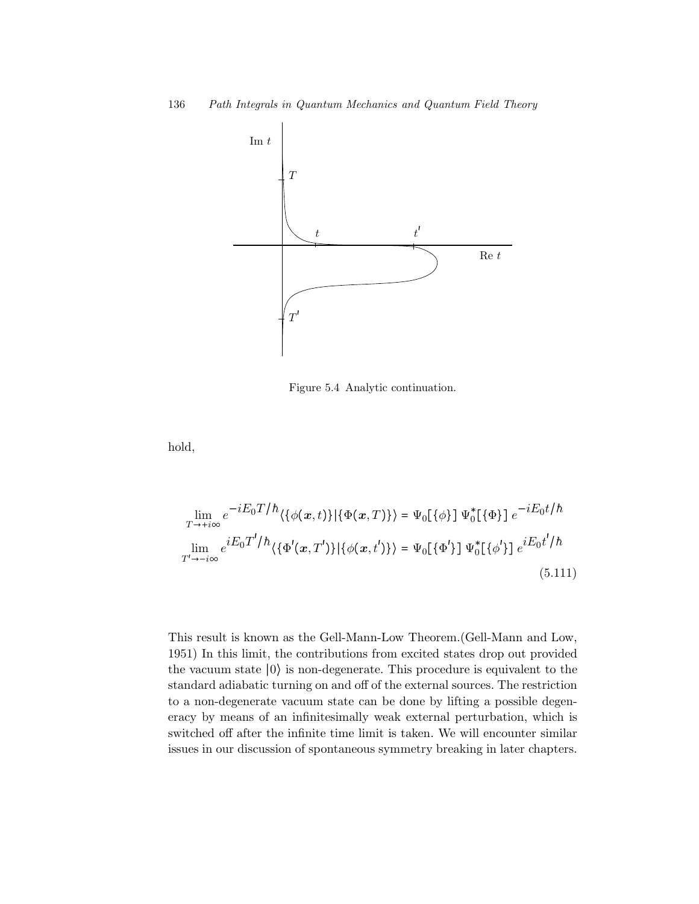

Figure 5.4 Analytic continuation.

hold,

$$
\lim_{T \to +i\infty} e^{-iE_0 T/h} \langle \{\phi(x,t)\} | \{\Phi(x,T)\}\rangle = \Psi_0[\{\phi\}] \Psi_0^*[\{\Phi\}] e^{-iE_0 t/h}
$$
\n
$$
\lim_{T' \to -i\infty} e^{iE_0 T'/h} \langle \{\Phi'(x,T')\} | \{\phi(x,t')\}\rangle = \Psi_0[\{\Phi'\}] \Psi_0^*[\{\phi'\}] e^{iE_0 t'/h}
$$
\n(5.111)

This result is known as the Gell-Mann-Low Theorem.(Gell-Mann and Low, 1951) In this limit, the contributions from excited states drop out provided the vacuum state ∣0⟩ is non-degenerate. This procedure is equivalent to the standard adiabatic turning on and off of the external sources. The restriction to a non-degenerate vacuum state can be done by lifting a possible degeneracy by means of an infinitesimally weak external perturbation, which is switched off after the infinite time limit is taken. We will encounter similar issues in our discussion of spontaneous symmetry breaking in later chapters.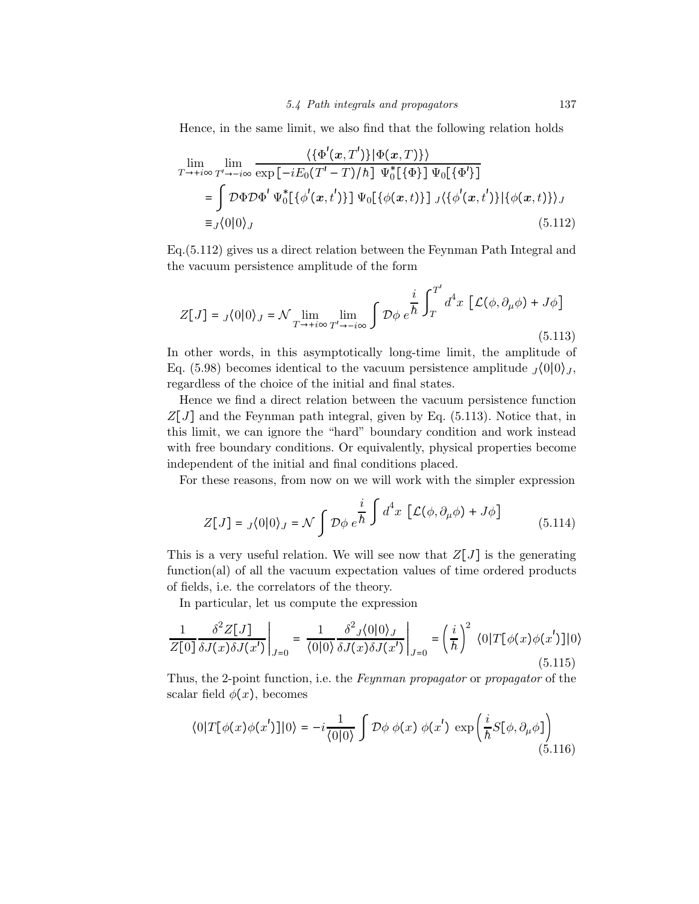Hence, in the same limit, we also find that the following relation holds

$$
\lim_{T \to +i\infty} \lim_{T' \to -i\infty} \frac{\langle {\Phi'(x, T')} | \Phi(x, T) \rangle}{\exp[-iE_0(T' - T)/\hbar] \Psi_0^*[\{\Phi\}] \Psi_0[\{\Phi'\}]}
$$
\n
$$
= \int \mathcal{D}\Phi \mathcal{D}\Phi' \Psi_0^*[\{\phi'(x, t')\}] \Psi_0[\{\phi(x, t)\}] J \langle {\phi'(x, t')}\rangle] \phi(x, t) \rangle_J
$$
\n
$$
\equiv J \langle 0 | 0 \rangle_J
$$
\n(5.112)

Eq.(5.112) gives us a direct relation between the Feynman Path Integral and the vacuum persistence amplitude of the form

$$
Z[J] = J\langle 0|0 \rangle_J = \mathcal{N} \lim_{T \to +i\infty} \lim_{T' \to -i\infty} \int \mathcal{D}\phi \, e^{\frac{i}{\hbar} \int_T^{T'} d^4 x \, \left[ \mathcal{L}(\phi, \partial_\mu \phi) + J\phi \right]} \tag{5.113}
$$

In other words, in this asymptotically long-time limit, the amplitude of Eq. (5.98) becomes identical to the vacuum persistence amplitude  $\frac{1}{0}$ (0|0)<sub>J</sub>, regardless of the choice of the initial and final states.

Hence we find a direct relation between the vacuum persistence function  $Z[J]$  and the Feynman path integral, given by Eq. (5.113). Notice that, in this limit, we can ignore the "hard" boundary condition and work instead with free boundary conditions. Or equivalently, physical properties become independent of the initial and final conditions placed.

For these reasons, from now on we will work with the simpler expression

$$
Z[J] = J\langle 0|0 \rangle_J = \mathcal{N} \int \mathcal{D}\phi \, e^{\frac{i}{\hbar} \int d^4x \, \left[ \mathcal{L}(\phi, \partial_\mu \phi) + J\phi \right]} \tag{5.114}
$$

This is a very useful relation. We will see now that  $Z[J]$  is the generating function(al) of all the vacuum expectation values of time ordered products of fields, i.e. the correlators of the theory.

In particular, let us compute the expression

$$
\frac{1}{Z[0]}\frac{\delta^2 Z[J]}{\delta J(x)\delta J(x')} \bigg|_{J=0} = \frac{1}{\langle 0|0 \rangle} \frac{\delta^2 J \langle 0|0 \rangle_J}{\delta J(x)\delta J(x')} \bigg|_{J=0} = \left(\frac{i}{\hbar}\right)^2 \langle 0|T[\phi(x)\phi(x')]|0 \rangle
$$
\n(5.115)

Thus, the 2-point function, i.e. the Feynman propagator or propagator of the scalar field  $\phi(x)$ , becomes

$$
\langle 0|T[\phi(x)\phi(x')]|0\rangle = -i\frac{1}{\langle 0|0\rangle} \int \mathcal{D}\phi \phi(x) \phi(x') \exp\left(\frac{i}{\hbar}S[\phi,\partial_{\mu}\phi]\right) \tag{5.116}
$$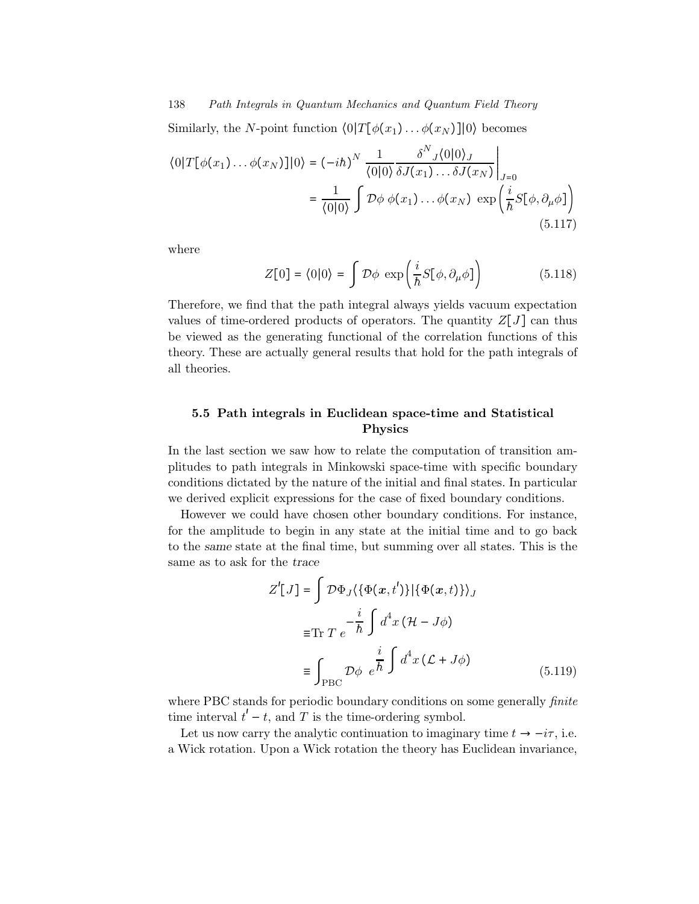Similarly, the N-point function  $\langle 0|T[\phi(x_1)... \phi(x_N)]|0\rangle$  becomes

$$
\langle 0|T[\phi(x_1)\dots\phi(x_N)]|0\rangle = (-i\hbar)^N \frac{1}{\langle 0|0\rangle} \frac{\delta^N{}_J \langle 0|0\rangle_J}{\delta J(x_1)\dots\delta J(x_N)}\Big|_{J=0}
$$
  

$$
= \frac{1}{\langle 0|0\rangle} \int \mathcal{D}\phi \, \phi(x_1)\dots\phi(x_N) \, \exp\left(\frac{i}{\hbar}S[\phi,\partial_\mu\phi]\right)
$$
(5.117)

where

$$
Z[0] = \langle 0|0 \rangle = \int \mathcal{D}\phi \, \exp\left(\frac{i}{\hbar}S[\phi,\partial_{\mu}\phi]\right) \tag{5.118}
$$

Therefore, we find that the path integral always yields vacuum expectation values of time-ordered products of operators. The quantity  $Z[J]$  can thus be viewed as the generating functional of the correlation functions of this theory. These are actually general results that hold for the path integrals of all theories.

## 5.5 Path integrals in Euclidean space-time and Statistical Physics

In the last section we saw how to relate the computation of transition amplitudes to path integrals in Minkowski space-time with specific boundary conditions dictated by the nature of the initial and final states. In particular we derived explicit expressions for the case of fixed boundary conditions.

However we could have chosen other boundary conditions. For instance, for the amplitude to begin in any state at the initial time and to go back to the same state at the final time, but summing over all states. This is the same as to ask for the trace

$$
Z'[J] = \int \mathcal{D}\Phi_J \langle {\Phi(\mathbf{x},t') }\rangle | {\Phi(\mathbf{x},t)} \rangle_J
$$
  

$$
= \text{Tr } T e^{-\frac{i}{\hbar} \int d^4 x (\mathcal{H} - J\phi)}
$$
  

$$
= \int_{\text{PBC}} \mathcal{D}\phi e^{\frac{i}{\hbar} \int d^4 x (\mathcal{L} + J\phi)}
$$
(5.119)

where PBC stands for periodic boundary conditions on some generally *finite* time interval  $t'-t$ , and T is the time-ordering symbol.

Let us now carry the analytic continuation to imaginary time  $t \to -i\tau$ , i.e. a Wick rotation. Upon a Wick rotation the theory has Euclidean invariance,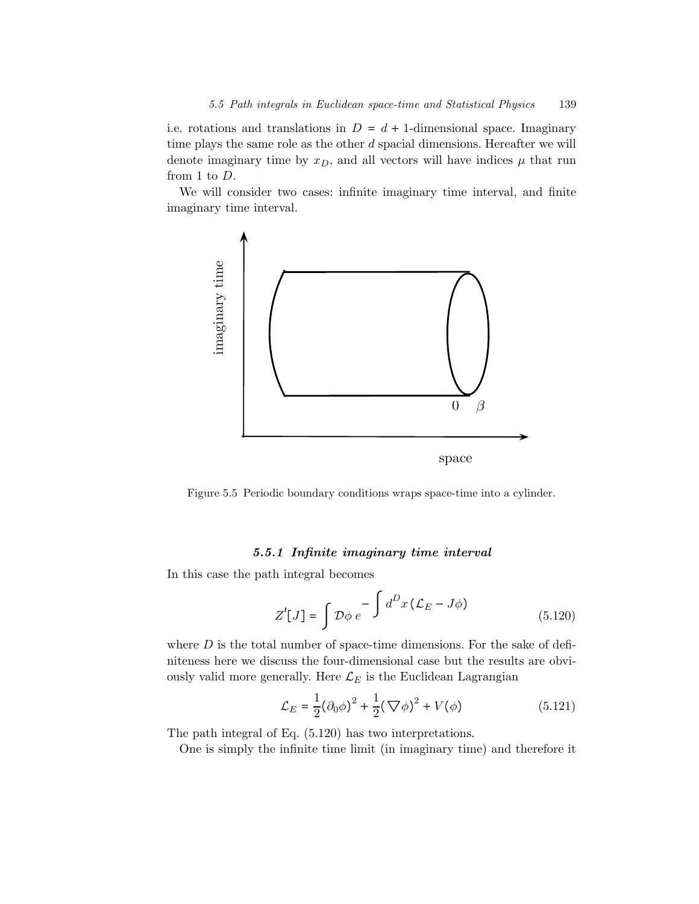i.e. rotations and translations in  $D = d + 1$ -dimensional space. Imaginary time plays the same role as the other  $d$  spacial dimensions. Hereafter we will denote imaginary time by  $x_D$ , and all vectors will have indices  $\mu$  that run from 1 to D.

We will consider two cases: infinite imaginary time interval, and finite imaginary time interval.



Figure 5.5 Periodic boundary conditions wraps space-time into a cylinder.

#### 5.5.1 Infinite imaginary time interval

In this case the path integral becomes

$$
Z'[J] = \int \mathcal{D}\phi \, e^{-\int d^D x \, (\mathcal{L}_E - J\phi)} \tag{5.120}
$$

where  $D$  is the total number of space-time dimensions. For the sake of definiteness here we discuss the four-dimensional case but the results are obviously valid more generally. Here  $\mathcal{L}_E$  is the Euclidean Lagrangian

$$
\mathcal{L}_E = \frac{1}{2} (\partial_0 \phi)^2 + \frac{1}{2} (\nabla \phi)^2 + V(\phi)
$$
 (5.121)

The path integral of Eq. (5.120) has two interpretations.

One is simply the infinite time limit (in imaginary time) and therefore it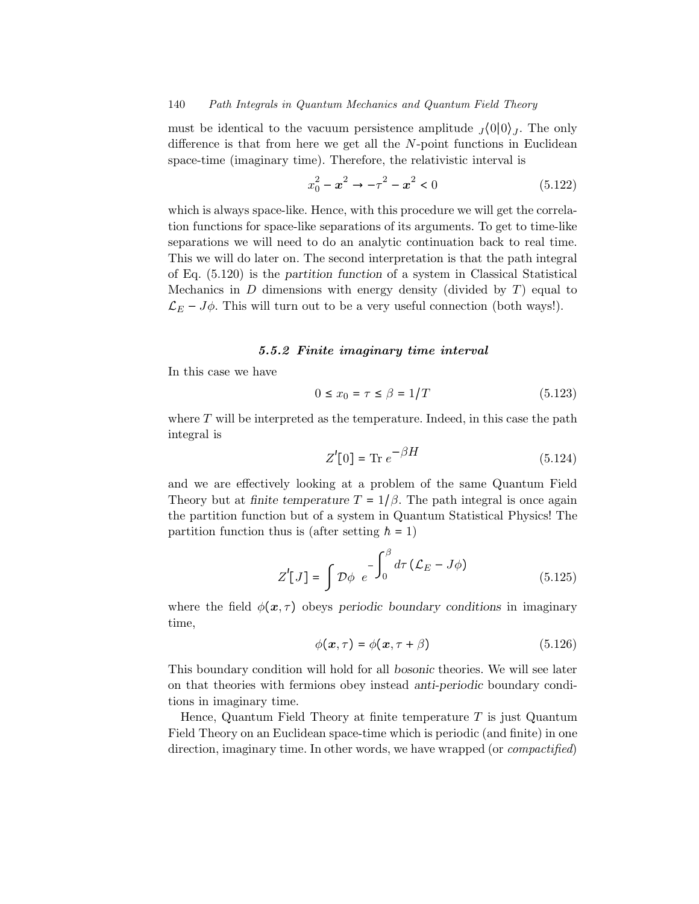must be identical to the vacuum persistence amplitude  $J(0|0)$ . The only difference is that from here we get all the  $N$ -point functions in Euclidean space-time (imaginary time). Therefore, the relativistic interval is

$$
x_0^2 - x^2 \to -\tau^2 - x^2 < 0 \tag{5.122}
$$

which is always space-like. Hence, with this procedure we will get the correlation functions for space-like separations of its arguments. To get to time-like separations we will need to do an analytic continuation back to real time. This we will do later on. The second interpretation is that the path integral of Eq. (5.120) is the partition function of a system in Classical Statistical Mechanics in  $D$  dimensions with energy density (divided by  $T$ ) equal to  $\mathcal{L}_E - J\phi$ . This will turn out to be a very useful connection (both ways!).

## 5.5.2 Finite imaginary time interval

In this case we have

$$
0 \le x_0 = \tau \le \beta = 1/T \tag{5.123}
$$

where  $T$  will be interpreted as the temperature. Indeed, in this case the path integral is

$$
Z'[0] = \text{Tr } e^{-\beta H} \tag{5.124}
$$

and we are effectively looking at a problem of the same Quantum Field Theory but at finite temperature  $T = 1/\beta$ . The path integral is once again the partition function but of a system in Quantum Statistical Physics! The partition function thus is (after setting  $h = 1$ )

$$
Z'[J] = \int \mathcal{D}\phi \ e^{-\int_0^\beta d\tau \left(\mathcal{L}_E - J\phi\right)}
$$
(5.125)

where the field  $\phi(x, \tau)$  obeys periodic boundary conditions in imaginary time,

$$
\phi(\mathbf{x},\tau) = \phi(\mathbf{x},\tau+\beta) \tag{5.126}
$$

This boundary condition will hold for all bosonic theories. We will see later on that theories with fermions obey instead anti-periodic boundary conditions in imaginary time.

Hence, Quantum Field Theory at finite temperature  $T$  is just Quantum Field Theory on an Euclidean space-time which is periodic (and finite) in one direction, imaginary time. In other words, we have wrapped (or *compactified*)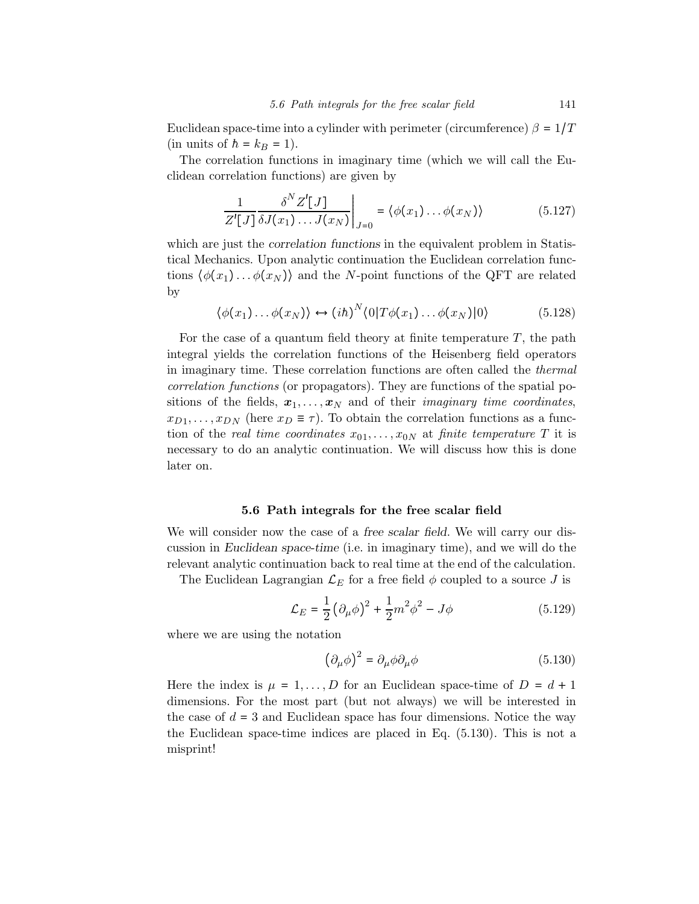Euclidean space-time into a cylinder with perimeter (circumference)  $\beta = 1/T$ (in units of  $h = k_B = 1$ ).

The correlation functions in imaginary time (which we will call the Euclidean correlation functions) are given by

$$
\frac{1}{Z'[J]}\frac{\delta^N Z'[J]}{\delta J(x_1)\dots J(x_N)}\bigg|_{J=0} = \langle \phi(x_1)\dots\phi(x_N) \rangle \tag{5.127}
$$

which are just the *correlation functions* in the equivalent problem in Statistical Mechanics. Upon analytic continuation the Euclidean correlation functions  $\langle \phi(x_1) \dots \phi(x_N) \rangle$  and the N-point functions of the QFT are related by

$$
\langle \phi(x_1) \dots \phi(x_N) \rangle \leftrightarrow (ih)^N \langle 0 | T \phi(x_1) \dots \phi(x_N) | 0 \rangle \tag{5.128}
$$

For the case of a quantum field theory at finite temperature  $T$ , the path integral yields the correlation functions of the Heisenberg field operators in imaginary time. These correlation functions are often called the thermal correlation functions (or propagators). They are functions of the spatial positions of the fields,  $x_1, \ldots, x_N$  and of their *imaginary time coordinates*,  $x_{D1},...,x_{DN}$  (here  $x_D \equiv \tau$ ). To obtain the correlation functions as a function of the real time coordinates  $x_{01},...,x_{0N}$  at finite temperature T it is necessary to do an analytic continuation. We will discuss how this is done later on.

## 5.6 Path integrals for the free scalar field

We will consider now the case of a *free scalar field*. We will carry our discussion in Euclidean space-time (i.e. in imaginary time), and we will do the relevant analytic continuation back to real time at the end of the calculation.

The Euclidean Lagrangian  $\mathcal{L}_E$  for a free field  $\phi$  coupled to a source J is

$$
\mathcal{L}_E = \frac{1}{2} \left( \partial_\mu \phi \right)^2 + \frac{1}{2} m^2 \phi^2 - J \phi \tag{5.129}
$$

where we are using the notation

$$
\left(\partial_{\mu}\phi\right)^{2} = \partial_{\mu}\phi\partial_{\mu}\phi\tag{5.130}
$$

Here the index is  $\mu = 1, \ldots, D$  for an Euclidean space-time of  $D = d + 1$ dimensions. For the most part (but not always) we will be interested in the case of  $d = 3$  and Euclidean space has four dimensions. Notice the way the Euclidean space-time indices are placed in Eq. (5.130). This is not a misprint!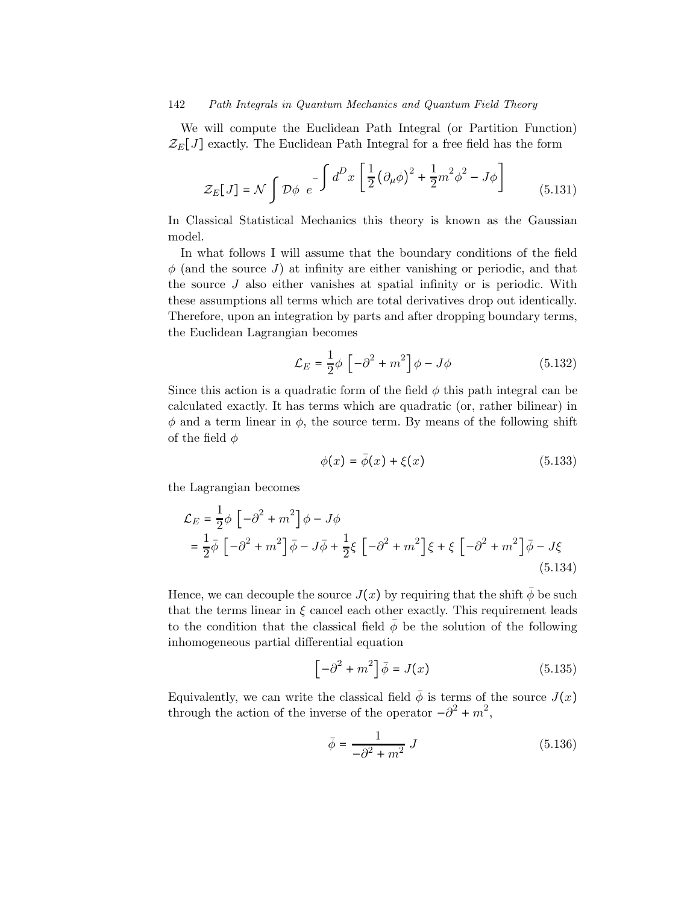We will compute the Euclidean Path Integral (or Partition Function)  $\mathcal{Z}_E[J]$  exactly. The Euclidean Path Integral for a free field has the form

$$
\mathcal{Z}_E[J] = \mathcal{N} \int \mathcal{D}\phi \ e^{-\int d^D x \left[ \frac{1}{2} \left( \partial_\mu \phi \right)^2 + \frac{1}{2} m^2 \phi^2 - J\phi \right]}
$$
(5.131)

In Classical Statistical Mechanics this theory is known as the Gaussian model.

In what follows I will assume that the boundary conditions of the field  $\phi$  (and the source J) at infinity are either vanishing or periodic, and that the source  $J$  also either vanishes at spatial infinity or is periodic. With these assumptions all terms which are total derivatives drop out identically. Therefore, upon an integration by parts and after dropping boundary terms, the Euclidean Lagrangian becomes

$$
\mathcal{L}_E = \frac{1}{2}\phi \left[ -\partial^2 + m^2 \right] \phi - J\phi \tag{5.132}
$$

Since this action is a quadratic form of the field  $\phi$  this path integral can be calculated exactly. It has terms which are quadratic (or, rather bilinear) in  $\phi$  and a term linear in  $\phi$ , the source term. By means of the following shift of the field  $\phi$ 

$$
\phi(x) = \bar{\phi}(x) + \xi(x) \tag{5.133}
$$

the Lagrangian becomes

$$
\mathcal{L}_E = \frac{1}{2}\phi \left[ -\partial^2 + m^2 \right] \phi - J\phi
$$
  
=  $\frac{1}{2}\overline{\phi} \left[ -\partial^2 + m^2 \right] \overline{\phi} - J\overline{\phi} + \frac{1}{2}\xi \left[ -\partial^2 + m^2 \right] \xi + \xi \left[ -\partial^2 + m^2 \right] \overline{\phi} - J\xi$  (5.134)

Hence, we can decouple the source  $J(x)$  by requiring that the shift  $\bar{\phi}$  be such that the terms linear in  $\xi$  cancel each other exactly. This requirement leads to the condition that the classical field  $\phi$  be the solution of the following inhomogeneous partial differential equation

$$
\left[-\partial^2 + m^2\right]\bar{\phi} = J(x) \tag{5.135}
$$

Equivalently, we can write the classical field  $\bar{\phi}$  is terms of the source  $J(x)$ through the action of the inverse of the operator  $-\partial^2 + m^2$ ,

$$
\bar{\phi} = \frac{1}{-\partial^2 + m^2} J \tag{5.136}
$$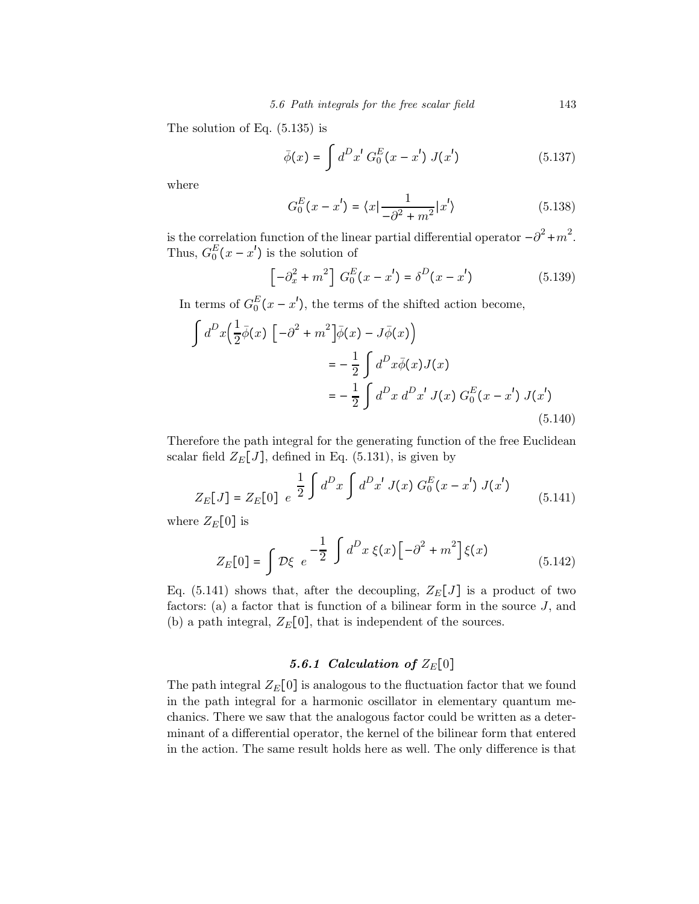The solution of Eq. (5.135) is

$$
\bar{\phi}(x) = \int d^D x' G_0^E(x - x') J(x')
$$
 (5.137)

where

$$
G_0^E(x - x') = \langle x | \frac{1}{-\partial^2 + m^2} | x' \rangle \tag{5.138}
$$

is the correlation function of the linear partial differential operator  $-\partial^2 + m^2$ . Thus,  $G_0^E(x - x')$  is the solution of

$$
\left[-\partial_x^2 + m^2\right] G_0^E(x - x') = \delta^D(x - x')
$$
\n(5.139)

In terms of  $G_0^E(x - x')$ , the terms of the shifted action become,

$$
\int d^D x \Big( \frac{1}{2} \overline{\phi}(x) \Big[ -\partial^2 + m^2 \Big] \overline{\phi}(x) - J \overline{\phi}(x) \Big)
$$
  

$$
= -\frac{1}{2} \int d^D x \overline{\phi}(x) J(x)
$$
  

$$
= -\frac{1}{2} \int d^D x d^D x' J(x) G_0^E(x - x') J(x')
$$
(5.140)

Therefore the path integral for the generating function of the free Euclidean scalar field  $Z_E[J]$ , defined in Eq. (5.131), is given by

$$
Z_E[J] = Z_E[0] \ e^{\frac{1}{2} \int d^D x \int d^D x' J(x) G_0^E(x - x') J(x')}
$$
\n(5.141)

where  $Z_{E}[0]$  is

$$
Z_E[0] = \int \mathcal{D}\xi \ e^{-\frac{1}{2} \int d^D x \xi(x) \left[ -\partial^2 + m^2 \right] \xi(x)}
$$
(5.142)

Eq. (5.141) shows that, after the decoupling,  $Z_E[J]$  is a product of two factors: (a) a factor that is function of a bilinear form in the source  $J$ , and (b) a path integral,  $Z_E[0]$ , that is independent of the sources.

## 5.6.1 Calculation of  $Z_{E}[0]$

The path integral  $Z_E[0]$  is analogous to the fluctuation factor that we found in the path integral for a harmonic oscillator in elementary quantum mechanics. There we saw that the analogous factor could be written as a determinant of a differential operator, the kernel of the bilinear form that entered in the action. The same result holds here as well. The only difference is that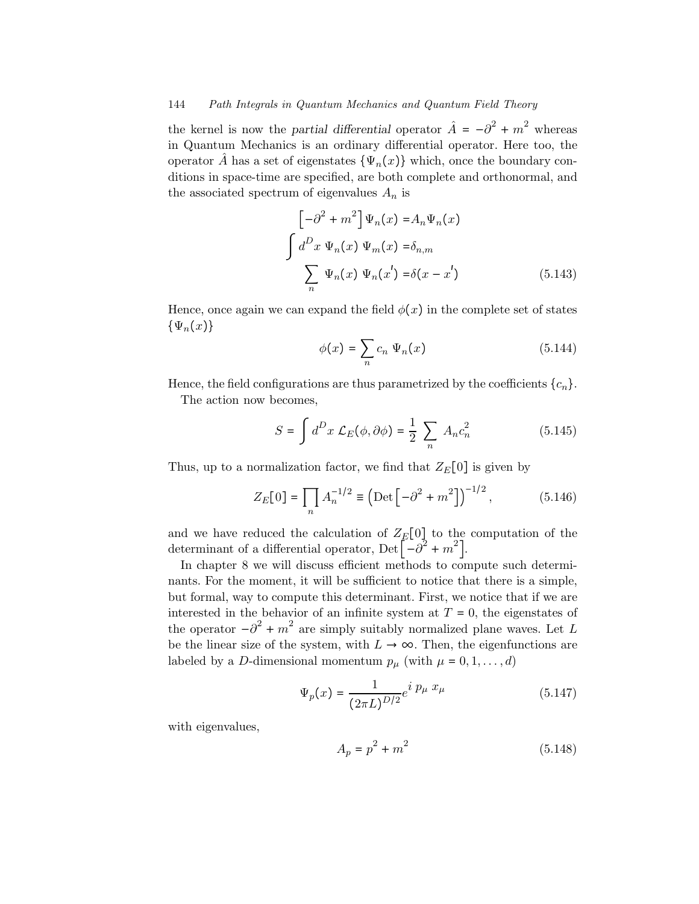the kernel is now the *partial differential* operator  $\hat{A} = -\partial^2 + m^2$  whereas in Quantum Mechanics is an ordinary differential operator. Here too, the operator A has a set of eigenstates  $\{\Psi_n(x)\}\$  which, once the boundary conditions in space-time are specified, are both complete and orthonormal, and the associated spectrum of eigenvalues  $A_n$  is

$$
\begin{bmatrix} -\partial^2 + m^2 \end{bmatrix} \Psi_n(x) = A_n \Psi_n(x)
$$

$$
\int d^D x \Psi_n(x) \Psi_m(x) = \delta_{n,m}
$$

$$
\sum_n \Psi_n(x) \Psi_n(x') = \delta(x - x')
$$
(5.143)

Hence, once again we can expand the field  $\phi(x)$  in the complete set of states  $\{\Psi_n(x)\}\$ 

$$
\phi(x) = \sum_{n} c_n \Psi_n(x) \tag{5.144}
$$

Hence, the field configurations are thus parametrized by the coefficients  $\{c_n\}$ .

The action now becomes,

$$
S = \int d^D x \mathcal{L}_E(\phi, \partial \phi) = \frac{1}{2} \sum_n A_n c_n^2 \tag{5.145}
$$

Thus, up to a normalization factor, we find that  $Z_E[0]$  is given by

$$
Z_E[0] = \prod_n A_n^{-1/2} \equiv \left(\text{Det}\left[-\partial^2 + m^2\right]\right)^{-1/2},\tag{5.146}
$$

and we have reduced the calculation of  $Z_E[0]$  to the computation of the determinant of a differential operator, Det  $\left[-\partial^2 + m^2\right]$ .

In chapter 8 we will discuss efficient methods to compute such determinants. For the moment, it will be sufficient to notice that there is a simple, but formal, way to compute this determinant. First, we notice that if we are interested in the behavior of an infinite system at  $T = 0$ , the eigenstates of the operator  $-\partial^2 + m^2$  are simply suitably normalized plane waves. Let L be the linear size of the system, with  $L \to \infty$ . Then, the eigenfunctions are labeled by a D-dimensional momentum  $p_{\mu}$  (with  $\mu = 0, 1, \ldots, d$ )

$$
\Psi_p(x) = \frac{1}{(2\pi L)^{D/2}} e^{i p_\mu x_\mu} \tag{5.147}
$$

with eigenvalues,

$$
A_p = p^2 + m^2 \tag{5.148}
$$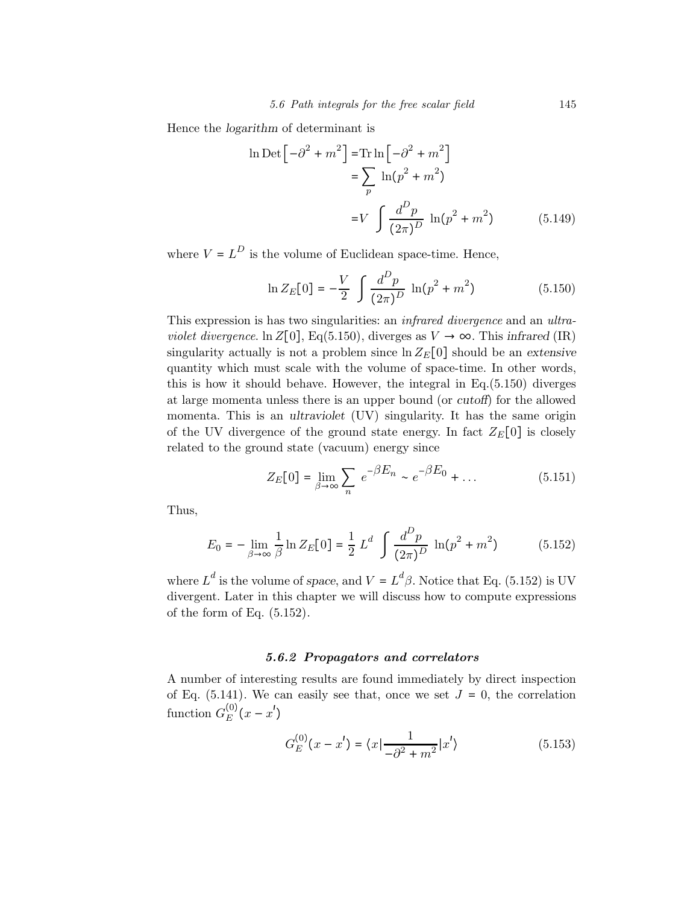Hence the logarithm of determinant is

$$
\ln \text{Det} \left[ -\partial^2 + m^2 \right] = \text{Tr} \ln \left[ -\partial^2 + m^2 \right]
$$

$$
= \sum_p \ln(p^2 + m^2)
$$

$$
= V \int \frac{d^D p}{(2\pi)^D} \ln(p^2 + m^2) \tag{5.149}
$$

where  $V = L^D$  is the volume of Euclidean space-time. Hence,

$$
\ln Z_E[0] = -\frac{V}{2} \int \frac{d^D p}{(2\pi)^D} \ln(p^2 + m^2)
$$
 (5.150)

This expression is has two singularities: an infrared divergence and an ultraviolet divergence. ln Z[0], Eq(5.150), diverges as  $V \to \infty$ . This infrared (IR) singularity actually is not a problem since  $\ln Z_{E}[0]$  should be an extensive quantity which must scale with the volume of space-time. In other words, this is how it should behave. However, the integral in Eq.(5.150) diverges at large momenta unless there is an upper bound (or cutoff) for the allowed momenta. This is an ultraviolet (UV) singularity. It has the same origin of the UV divergence of the ground state energy. In fact  $Z_E[0]$  is closely related to the ground state (vacuum) energy since

$$
Z_E[0] = \lim_{\beta \to \infty} \sum_n e^{-\beta E_n} \sim e^{-\beta E_0} + \dots \tag{5.151}
$$

Thus,

$$
E_0 = -\lim_{\beta \to \infty} \frac{1}{\beta} \ln Z_E[0] = \frac{1}{2} L^d \int \frac{d^D p}{(2\pi)^D} \ln(p^2 + m^2)
$$
 (5.152)

where  $L^d$  is the volume of space, and  $V = L^d \beta$ . Notice that Eq. (5.152) is UV divergent. Later in this chapter we will discuss how to compute expressions of the form of Eq.  $(5.152)$ .

## 5.6.2 Propagators and correlators

A number of interesting results are found immediately by direct inspection of Eq. (5.141). We can easily see that, once we set  $J = 0$ , the correlation function  $G_E^{(0)}(x-x')$ 

$$
G_E^{(0)}(x - x') = \langle x | \frac{1}{-\partial^2 + m^2} | x' \rangle \tag{5.153}
$$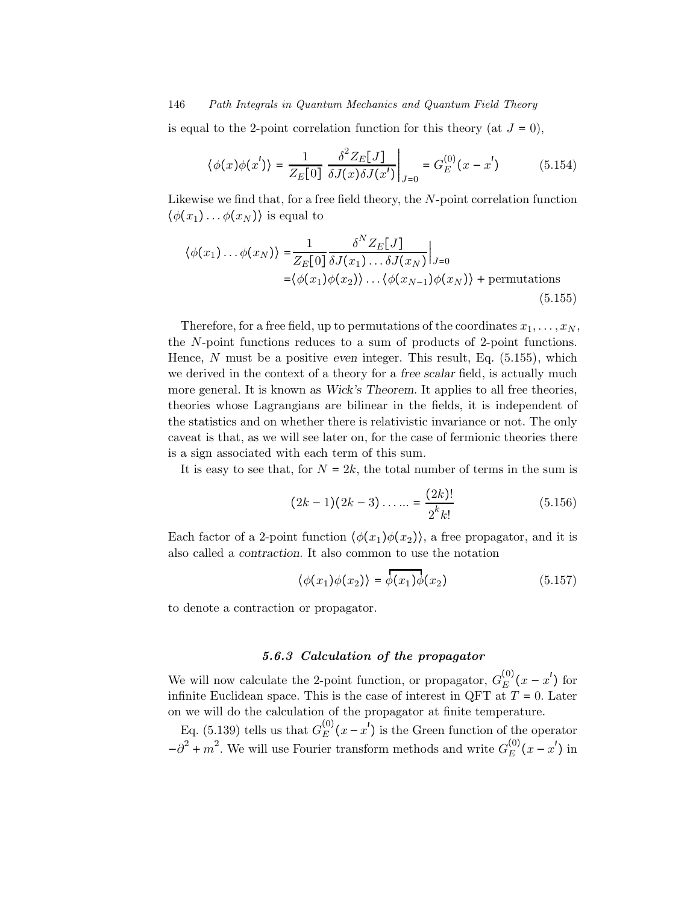is equal to the 2-point correlation function for this theory (at  $J = 0$ ),

$$
\langle \phi(x)\phi(x')\rangle = \frac{1}{Z_E[0]} \left. \frac{\delta^2 Z_E[J]}{\delta J(x)\delta J(x')} \right|_{J=0} = G_E^{(0)}(x-x')
$$
 (5.154)

Likewise we find that, for a free field theory, the N-point correlation function  $\langle \phi(x_1) \dots \phi(x_N) \rangle$  is equal to

$$
\langle \phi(x_1) \dots \phi(x_N) \rangle = \frac{1}{Z_E[0] \delta J(x_1) \dots \delta J(x_N)} \Big|_{J=0}
$$
  
= $\langle \phi(x_1) \phi(x_2) \rangle \dots \langle \phi(x_{N-1}) \phi(x_N) \rangle + \text{permutations}$  (5.155)

Therefore, for a free field, up to permutations of the coordinates  $x_1, \ldots, x_N$ , the N-point functions reduces to a sum of products of 2-point functions. Hence, N must be a positive even integer. This result, Eq.  $(5.155)$ , which we derived in the context of a theory for a free scalar field, is actually much more general. It is known as Wick's Theorem. It applies to all free theories, theories whose Lagrangians are bilinear in the fields, it is independent of the statistics and on whether there is relativistic invariance or not. The only caveat is that, as we will see later on, for the case of fermionic theories there is a sign associated with each term of this sum.

It is easy to see that, for  $N = 2k$ , the total number of terms in the sum is

$$
(2k-1)(2k-3)\dots = \frac{(2k)!}{2^k k!}
$$
 (5.156)

Each factor of a 2-point function  $\langle \phi(x_1) \phi(x_2) \rangle$ , a free propagator, and it is also called a contraction. It also common to use the notation

$$
\langle \phi(x_1)\phi(x_2)\rangle = \overline{\phi(x_1)}\phi(x_2) \tag{5.157}
$$

to denote a contraction or propagator.

## 5.6.3 Calculation of the propagator

We will now calculate the 2-point function, or propagator,  $G_E^{(0)}(x-x')$  for infinite Euclidean space. This is the case of interest in QFT at  $T = 0$ . Later on we will do the calculation of the propagator at finite temperature.

Eq. (5.139) tells us that  $G_E^{(0)}(x-x')$  is the Green function of the operator  $-\partial^2 + m^2$ . We will use Fourier transform methods and write  $G_E^{(0)}(x - x')$  in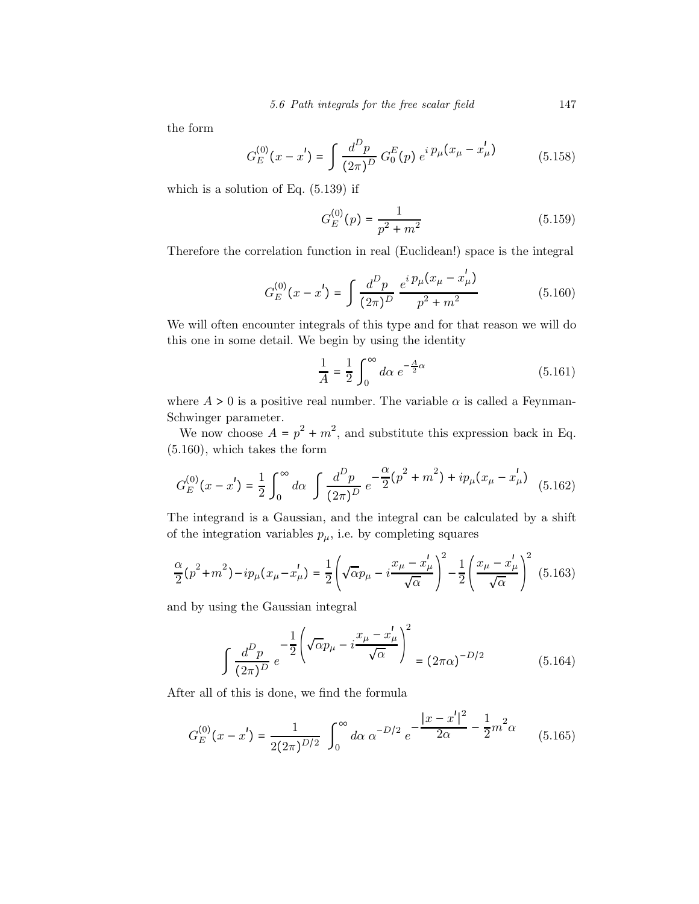the form

$$
G_E^{(0)}(x - x') = \int \frac{d^D p}{(2\pi)^D} G_0^E(p) e^{i p_\mu (x_\mu - x'_\mu)}
$$
(5.158)

which is a solution of Eq. (5.139) if

$$
G_E^{(0)}(p) = \frac{1}{p^2 + m^2} \tag{5.159}
$$

Therefore the correlation function in real (Euclidean!) space is the integral

$$
G_E^{(0)}(x - x') = \int \frac{d^D p}{(2\pi)^D} \frac{e^{i p_\mu (x_\mu - x'_\mu)}}{p^2 + m^2}
$$
(5.160)

We will often encounter integrals of this type and for that reason we will do this one in some detail. We begin by using the identity

$$
\frac{1}{A} = \frac{1}{2} \int_0^\infty d\alpha \ e^{-\frac{A}{2}\alpha} \tag{5.161}
$$

where  $A > 0$  is a positive real number. The variable  $\alpha$  is called a Feynman-Schwinger parameter.

We now choose  $A = p^2 + m^2$ , and substitute this expression back in Eq. (5.160), which takes the form

$$
G_E^{(0)}(x - x') = \frac{1}{2} \int_0^\infty d\alpha \int \frac{d^D p}{(2\pi)^D} e^{-\frac{\alpha}{2}(p^2 + m^2) + ip_\mu (x_\mu - x'_\mu)}
$$
(5.162)

The integrand is a Gaussian, and the integral can be calculated by a shift of the integration variables  $p_{\mu}$ , i.e. by completing squares

$$
\frac{\alpha}{2}(p^2 + m^2) - ip_\mu(x_\mu - x'_\mu) = \frac{1}{2} \left( \sqrt{\alpha} p_\mu - i \frac{x_\mu - x'_\mu}{\sqrt{\alpha}} \right)^2 - \frac{1}{2} \left( \frac{x_\mu - x'_\mu}{\sqrt{\alpha}} \right)^2 \tag{5.163}
$$

and by using the Gaussian integral

$$
\int \frac{d^D p}{(2\pi)^D} e^{-\frac{1}{2} \left( \sqrt{\alpha} p_\mu - i \frac{x_\mu - x_\mu'}{\sqrt{\alpha}} \right)^2} = (2\pi \alpha)^{-D/2}
$$
 (5.164)

After all of this is done, we find the formula

$$
G_E^{(0)}(x - x') = \frac{1}{2(2\pi)^{D/2}} \int_0^\infty d\alpha \, \alpha^{-D/2} \, e^{-\frac{|x - x'|^2}{2\alpha} - \frac{1}{2}m^2 \alpha} \qquad (5.165)
$$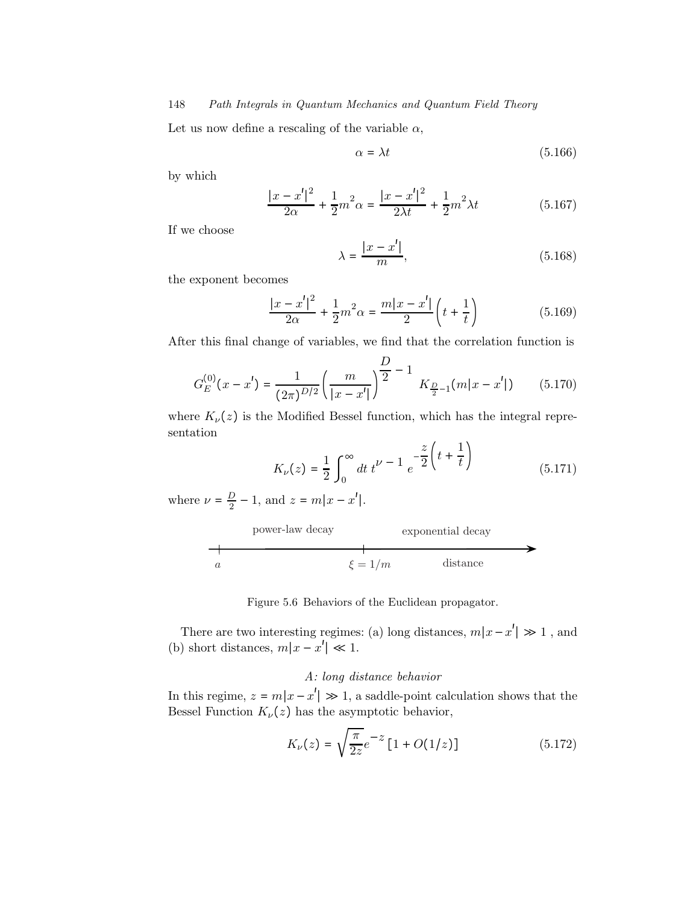Let us now define a rescaling of the variable  $\alpha$ ,

$$
\alpha = \lambda t \tag{5.166}
$$

by which

$$
\frac{|x - x'|^2}{2\alpha} + \frac{1}{2}m^2\alpha = \frac{|x - x'|^2}{2\lambda t} + \frac{1}{2}m^2\lambda t
$$
 (5.167)

If we choose

$$
\lambda = \frac{|x - x'|}{m},\tag{5.168}
$$

the exponent becomes

$$
\frac{|x-x'|^2}{2\alpha} + \frac{1}{2}m^2\alpha = \frac{m|x-x'|}{2}\left(t + \frac{1}{t}\right)
$$
 (5.169)

After this final change of variables, we find that the correlation function is

$$
G_E^{(0)}(x - x') = \frac{1}{(2\pi)^{D/2}} \left(\frac{m}{|x - x'|}\right)^{\frac{D}{2}} - 1 K_{\frac{D}{2} - 1}(m|x - x'|)
$$
(5.170)

where  $K_{\nu}(z)$  is the Modified Bessel function, which has the integral representation  $\overline{1}$ 

$$
K_{\nu}(z) = \frac{1}{2} \int_0^{\infty} dt \, t^{\nu - 1} \, e^{-\frac{z}{2} \left( t + \frac{1}{t} \right)} \tag{5.171}
$$

where  $\nu = \frac{D}{2} - 1$ , and  $z = m|x - x'|$ .



Figure 5.6 Behaviors of the Euclidean propagator.

There are two interesting regimes: (a) long distances,  $m|x-x'| \gg 1$ , and (b) short distances,  $m|x - x'| \ll 1$ .

## A: long distance behavior

In this regime,  $z = m|x - x'| \gg 1$ , a saddle-point calculation shows that the Bessel Function  $K_{\nu}(z)$  has the asymptotic behavior,

$$
K_{\nu}(z) = \sqrt{\frac{\pi}{2z}}e^{-z}\left[1 + O(1/z)\right]
$$
 (5.172)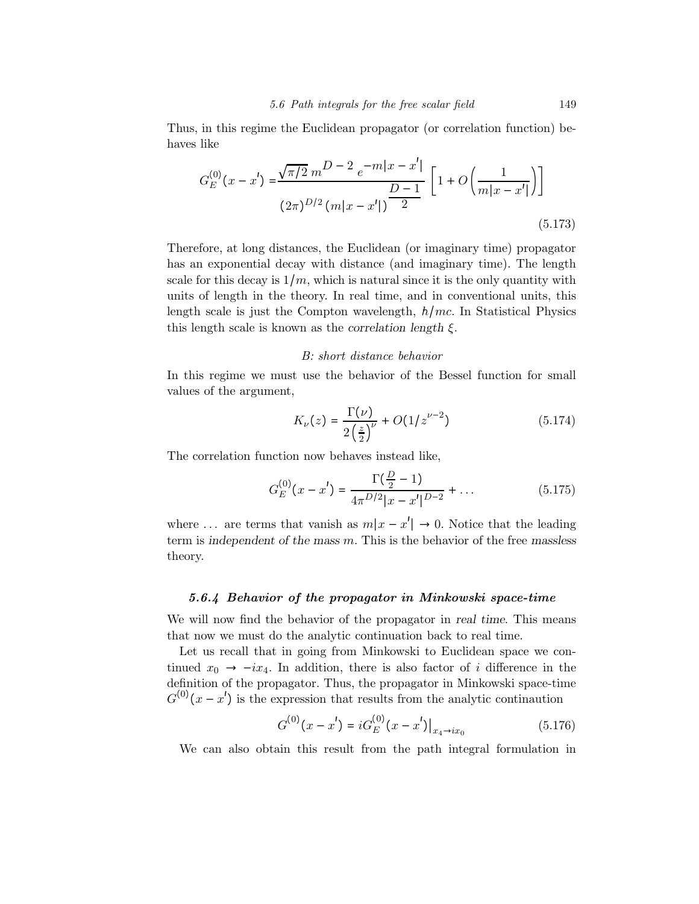Thus, in this regime the Euclidean propagator (or correlation function) behaves like

$$
G_E^{(0)}(x - x') = \frac{\sqrt{\pi/2} \, m^{D - 2} \, e^{-m|x - x'|}}{(2\pi)^{D/2} \, (m|x - x'|)^{\frac{D - 1}{2}}} \left[ 1 + O\left(\frac{1}{m|x - x'|}\right) \right]
$$
\n(5.173)

Therefore, at long distances, the Euclidean (or imaginary time) propagator has an exponential decay with distance (and imaginary time). The length scale for this decay is  $1/m$ , which is natural since it is the only quantity with units of length in the theory. In real time, and in conventional units, this length scale is just the Compton wavelength,  $h/mc$ . In Statistical Physics this length scale is known as the correlation length  $\xi$ .

#### B: short distance behavior

In this regime we must use the behavior of the Bessel function for small values of the argument,

$$
K_{\nu}(z) = \frac{\Gamma(\nu)}{2\left(\frac{z}{2}\right)^{\nu}} + O(1/z^{\nu-2})
$$
\n(5.174)

The correlation function now behaves instead like,

$$
G_E^{(0)}(x - x') = \frac{\Gamma(\frac{D}{2} - 1)}{4\pi^{D/2}|x - x'|^{D-2}} + \dots
$$
 (5.175)

where ... are terms that vanish as  $m|x-x'| \to 0$ . Notice that the leading term is independent of the mass  $m$ . This is the behavior of the free massless theory.

#### 5.6.4 Behavior of the propagator in Minkowski space-time

We will now find the behavior of the propagator in real time. This means that now we must do the analytic continuation back to real time.

Let us recall that in going from Minkowski to Euclidean space we continued  $x_0 \rightarrow -ix_4$ . In addition, there is also factor of i difference in the definition of the propagator. Thus, the propagator in Minkowski space-time  $G^{(0)}(x-x')$  is the expression that results from the analytic continuation

$$
G^{(0)}(x - x') = iG_E^{(0)}(x - x')\big|_{x_4 \to ix_0} \tag{5.176}
$$

We can also obtain this result from the path integral formulation in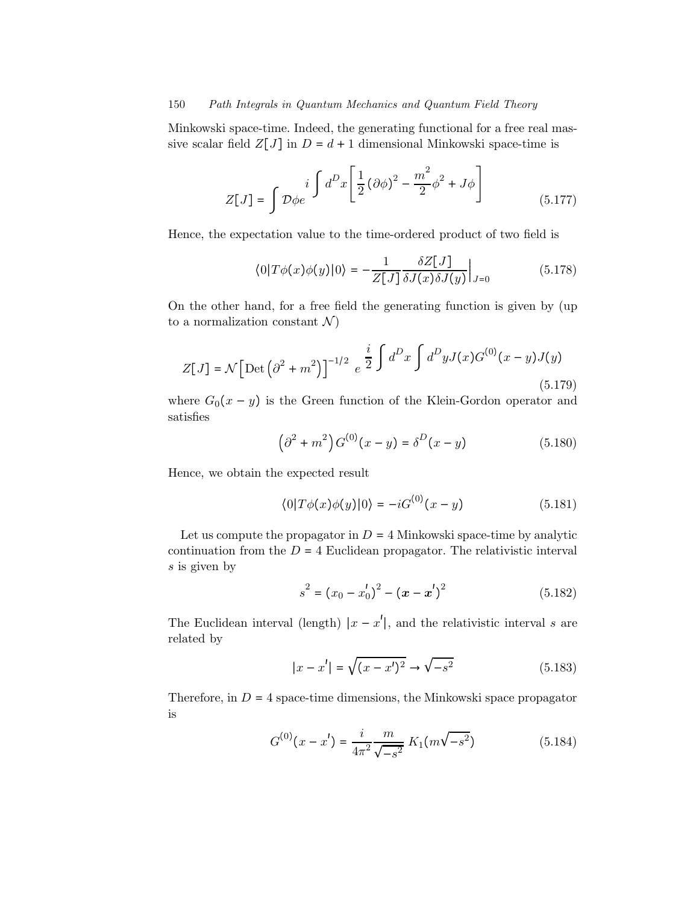Minkowski space-time. Indeed, the generating functional for a free real massive scalar field  $Z[J]$  in  $D = d + 1$  dimensional Minkowski space-time is

$$
Z[J] = \int \mathcal{D}\phi e^{i \int d^D x \left[ \frac{1}{2} (\partial \phi)^2 - \frac{m^2}{2} \phi^2 + J\phi \right]}
$$
(5.177)

Hence, the expectation value to the time-ordered product of two field is

$$
\langle 0|T\phi(x)\phi(y)|0\rangle = -\frac{1}{Z[J]} \frac{\delta Z[J]}{\delta J(x)\delta J(y)}\Big|_{J=0} \tag{5.178}
$$

On the other hand, for a free field the generating function is given by (up to a normalization constant  $\mathcal{N}$ )

$$
Z[J] = \mathcal{N} \Big[ \text{Det} \left( \partial^2 + m^2 \right) \Big]^{-1/2} e^{\frac{i}{2} \int d^D x \int d^D y J(x) G^{(0)}(x - y) J(y)} \tag{5.179}
$$

where  $G_0(x - y)$  is the Green function of the Klein-Gordon operator and satisfies

$$
\left(\partial^2 + m^2\right) G^{(0)}(x - y) = \delta^D(x - y) \tag{5.180}
$$

Hence, we obtain the expected result

$$
\langle 0|T\phi(x)\phi(y)|0\rangle = -iG^{(0)}(x-y) \tag{5.181}
$$

Let us compute the propagator in  $D = 4$  Minkowski space-time by analytic continuation from the  $D = 4$  Euclidean propagator. The relativistic interval s is given by

$$
s^{2} = (x_{0} - x'_{0})^{2} - (\boldsymbol{x} - \boldsymbol{x}')^{2}
$$
 (5.182)

The Euclidean interval (length)  $|x - x'|$ , and the relativistic interval s are related by

$$
|x - x'| = \sqrt{(x - x')^2} \to \sqrt{-s^2}
$$
 (5.183)

Therefore, in  $D = 4$  space-time dimensions, the Minkowski space propagator is

$$
G^{(0)}(x - x') = \frac{i}{4\pi^2} \frac{m}{\sqrt{-s^2}} K_1(m\sqrt{-s^2})
$$
 (5.184)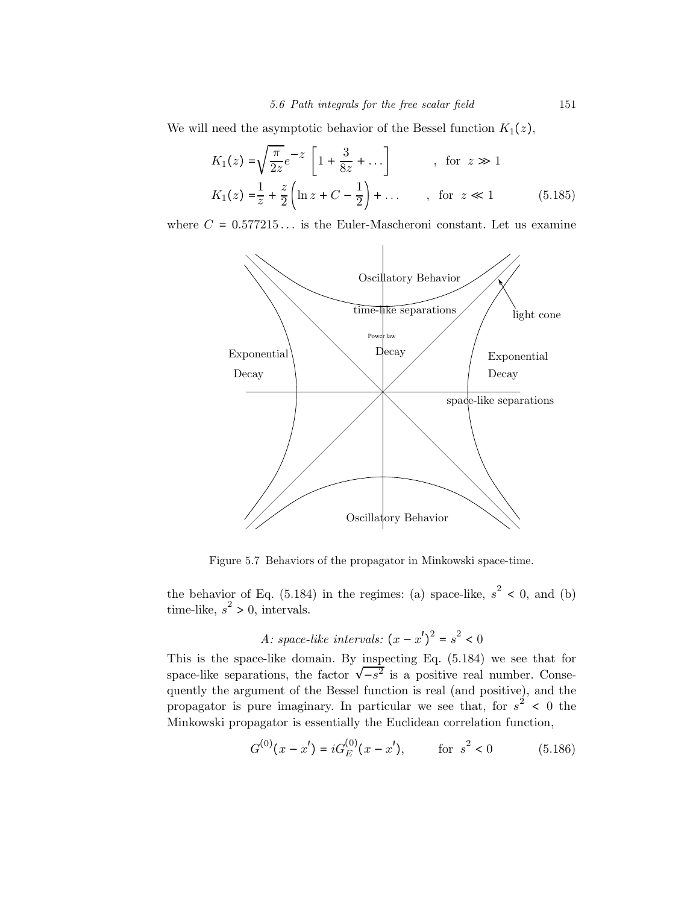We will need the asymptotic behavior of the Bessel function  $K_1(z)$ ,

$$
K_1(z) = \sqrt{\frac{\pi}{2z}} e^{-z} \left[ 1 + \frac{3}{8z} + \dots \right] \qquad , \text{ for } z \gg 1
$$
  

$$
K_1(z) = \frac{1}{z} + \frac{z}{2} \left( \ln z + C - \frac{1}{2} \right) + \dots \qquad , \text{ for } z \ll 1 \qquad (5.185)
$$

where  $C = 0.577215...$  is the Euler-Mascheroni constant. Let us examine



Figure 5.7 Behaviors of the propagator in Minkowski space-time.

the behavior of Eq. (5.184) in the regimes: (a) space-like,  $s^2 < 0$ , and (b) time-like,  $s^2 > 0$ , intervals.

A: space-like intervals: 
$$
(x - x')^2 = s^2 < 0
$$

This is the space-like domain. By inspecting Eq. (5.184) we see that for space-like separations, the factor  $\sqrt{-s^2}$  is a positive real number. Consequently the argument of the Bessel function is real (and positive), and the propagator is pure imaginary. In particular we see that, for  $s^2$  < 0 the Minkowski propagator is essentially the Euclidean correlation function,

$$
G^{(0)}(x - x') = iG_E^{(0)}(x - x'), \qquad \text{for } s^2 < 0 \tag{5.186}
$$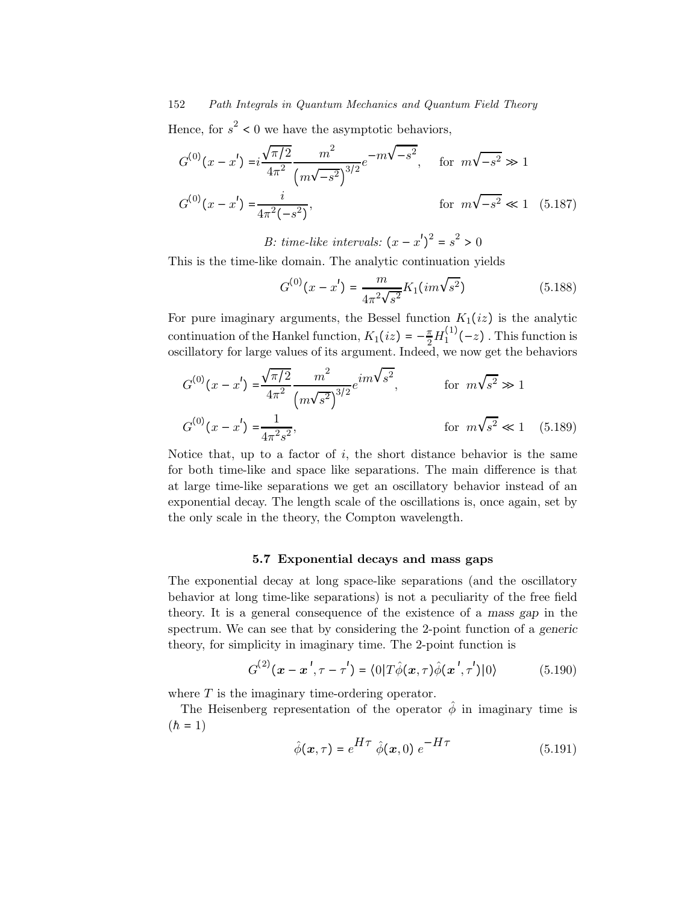Hence, for  $s^2 < 0$  we have the asymptotic behaviors,

$$
G^{(0)}(x - x') = i \frac{\sqrt{\pi/2}}{4\pi^2} \frac{m^2}{\left(m\sqrt{-s^2}\right)^{3/2}} e^{-m\sqrt{-s^2}}, \quad \text{for } m\sqrt{-s^2} \gg 1
$$
  

$$
G^{(0)}(x - x') = \frac{i}{4\pi^2(-s^2)}, \qquad \text{for } m\sqrt{-s^2} \ll 1 \quad (5.187)
$$

B: time-like intervals:  $(x - x')^2 = s^2 > 0$ 

This is the time-like domain. The analytic continuation yields

$$
G^{(0)}(x - x') = \frac{m}{4\pi^2 \sqrt{s^2}} K_1(im\sqrt{s^2})
$$
\n(5.188)

For pure imaginary arguments, the Bessel function  $K_1(iz)$  is the analytic continuation of the Hankel function,  $K_1(iz) = -\frac{\pi}{2} H_1^{(1)}(-z)$  . This function is oscillatory for large values of its argument. Indeed, we now get the behaviors

$$
G^{(0)}(x - x') = \frac{\sqrt{\pi/2}}{4\pi^2} \frac{m^2}{(m\sqrt{s^2})^{3/2}} e^{im\sqrt{s^2}}, \qquad \text{for } m\sqrt{s^2} \gg 1
$$
  

$$
G^{(0)}(x - x') = \frac{1}{4\pi^2 s^2}, \qquad \text{for } m\sqrt{s^2} \ll 1 \quad (5.189)
$$

Notice that, up to a factor of  $i$ , the short distance behavior is the same for both time-like and space like separations. The main difference is that at large time-like separations we get an oscillatory behavior instead of an exponential decay. The length scale of the oscillations is, once again, set by the only scale in the theory, the Compton wavelength.

#### 5.7 Exponential decays and mass gaps

The exponential decay at long space-like separations (and the oscillatory behavior at long time-like separations) is not a peculiarity of the free field theory. It is a general consequence of the existence of a mass gap in the spectrum. We can see that by considering the 2-point function of a generic theory, for simplicity in imaginary time. The 2-point function is

$$
G^{(2)}(\mathbf{x} - \mathbf{x}', \tau - \tau') = \langle 0|T\hat{\phi}(\mathbf{x}, \tau)\hat{\phi}(\mathbf{x}', \tau')|0\rangle \qquad (5.190)
$$

where  $T$  is the imaginary time-ordering operator.

The Heisenberg representation of the operator  $\phi$  in imaginary time is  $(h = 1)$ 

$$
\hat{\phi}(\mathbf{x},\tau) = e^{H\tau} \hat{\phi}(\mathbf{x},0) e^{-H\tau}
$$
\n(5.191)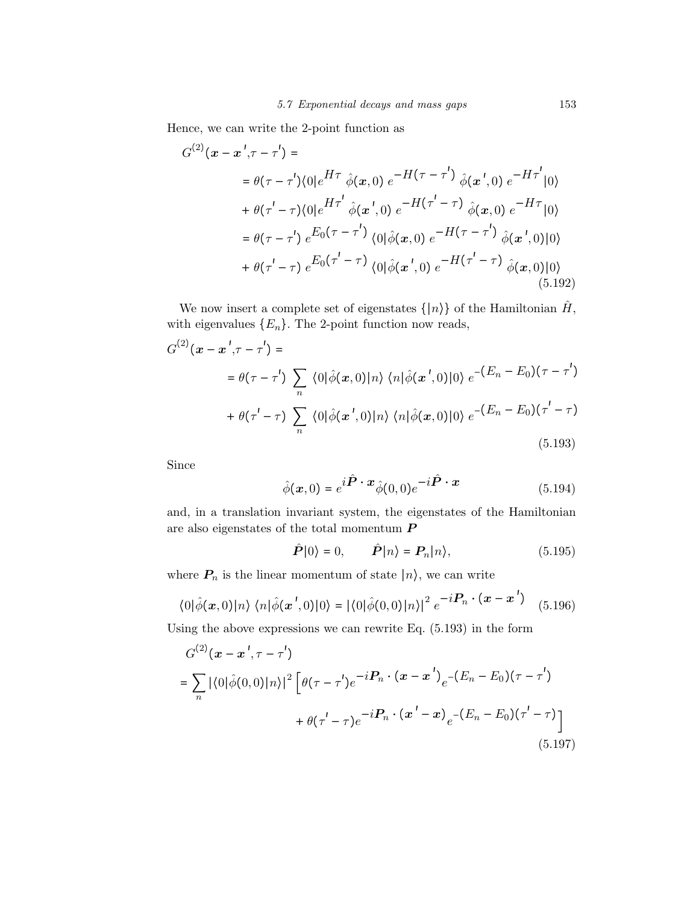Hence, we can write the 2-point function as

$$
G^{(2)}(\mathbf{x} - \mathbf{x}', \tau - \tau') =
$$
  
\n
$$
= \theta(\tau - \tau') \langle 0|e^{H\tau} \hat{\phi}(\mathbf{x}, 0) e^{-H(\tau - \tau')} \hat{\phi}(\mathbf{x}', 0) e^{-H\tau'} |0\rangle
$$
  
\n
$$
+ \theta(\tau' - \tau) \langle 0|e^{H\tau'} \hat{\phi}(\mathbf{x}', 0) e^{-H(\tau' - \tau)} \hat{\phi}(\mathbf{x}, 0) e^{-H\tau} |0\rangle
$$
  
\n
$$
= \theta(\tau - \tau') e^{E_0(\tau - \tau')} \langle 0|\hat{\phi}(\mathbf{x}, 0) e^{-H(\tau - \tau')} \hat{\phi}(\mathbf{x}', 0) |0\rangle
$$
  
\n
$$
+ \theta(\tau' - \tau) e^{E_0(\tau' - \tau)} \langle 0|\hat{\phi}(\mathbf{x}', 0) e^{-H(\tau' - \tau)} \hat{\phi}(\mathbf{x}, 0) |0\rangle
$$
  
\n(5.192)

We now insert a complete set of eigenstates  $\{|n\rangle\}$  of the Hamiltonian  $\hat{H}$ , with eigenvalues  ${E_n}$ . The 2-point function now reads,

$$
G^{(2)}(\boldsymbol{x} - \boldsymbol{x}', \tau - \tau') =
$$
  
\n
$$
= \theta(\tau - \tau') \sum_{n} \langle 0|\hat{\phi}(\boldsymbol{x}, 0)|n\rangle \langle n|\hat{\phi}(\boldsymbol{x}', 0)|0\rangle e^{-(E_{n} - E_{0})(\tau - \tau')}
$$
  
\n
$$
+ \theta(\tau' - \tau) \sum_{n} \langle 0|\hat{\phi}(\boldsymbol{x}', 0)|n\rangle \langle n|\hat{\phi}(\boldsymbol{x}, 0)|0\rangle e^{-(E_{n} - E_{0})(\tau' - \tau)}
$$
  
\n(5.193)

Since

$$
\hat{\phi}(\boldsymbol{x},0) = e^{i\hat{\boldsymbol{P}}\cdot\boldsymbol{x}} \hat{\phi}(0,0) e^{-i\hat{\boldsymbol{P}}\cdot\boldsymbol{x}}
$$
\n(5.194)

and, in a translation invariant system, the eigenstates of the Hamiltonian are also eigenstates of the total momentum  $P$ 

$$
\hat{\boldsymbol{P}}|0\rangle = 0, \qquad \hat{\boldsymbol{P}}|n\rangle = \boldsymbol{P}_n|n\rangle, \tag{5.195}
$$

where  $P_n$  is the linear momentum of state  $|n\rangle$ , we can write

$$
\langle 0|\hat{\phi}(\boldsymbol{x},0)|n\rangle \langle n|\hat{\phi}(\boldsymbol{x}',0)|0\rangle = |\langle 0|\hat{\phi}(0,0)|n\rangle|^2 e^{-i\boldsymbol{P}_n \cdot (\boldsymbol{x}-\boldsymbol{x}')}\quad (5.196)
$$

Using the above expressions we can rewrite Eq. (5.193) in the form

$$
G^{(2)}(\mathbf{x} - \mathbf{x}', \tau - \tau')
$$
  
=  $\sum_{n} |\langle 0|\hat{\phi}(0,0)|n\rangle|^{2} \left[\theta(\tau - \tau')e^{-i\mathbf{P}_{n} \cdot (\mathbf{x} - \mathbf{x}')}e^{-(E_{n} - E_{0})(\tau - \tau')}\right]$   
+  $\theta(\tau' - \tau)e^{-i\mathbf{P}_{n} \cdot (\mathbf{x}' - \mathbf{x})}e^{-(E_{n} - E_{0})(\tau' - \tau)}]$  (5.197)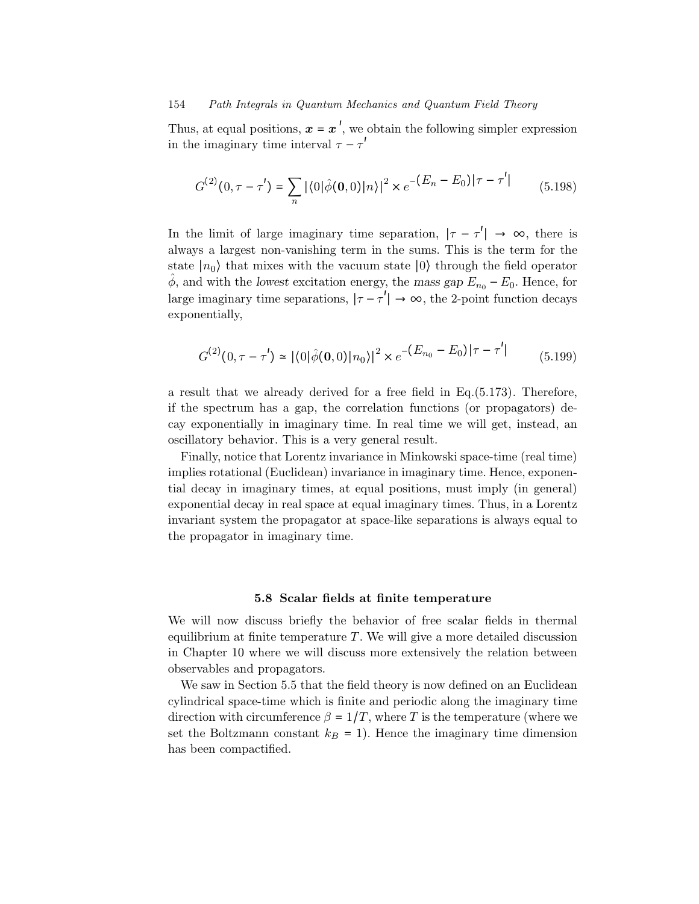Thus, at equal positions,  $x = x'$ , we obtain the following simpler expression in the imaginary time interval  $\tau - \tau'$ 

$$
G^{(2)}(0, \tau - \tau') = \sum_{n} |\langle 0|\hat{\phi}(\mathbf{0}, 0)|n\rangle|^2 \times e^{-(E_n - E_0)|\tau - \tau'|}
$$
(5.198)

In the limit of large imaginary time separation,  $|\tau - \tau'| \rightarrow \infty$ , there is always a largest non-vanishing term in the sums. This is the term for the state  $|n_0\rangle$  that mixes with the vacuum state  $|0\rangle$  through the field operator  $\hat{\phi}$ , and with the lowest excitation energy, the mass gap  $E_{n_0} - E_0$ . Hence, for large imaginary time separations,  $|\tau - \tau'| \to \infty$ , the 2-point function decays exponentially,

$$
G^{(2)}(0, \tau - \tau') \simeq |\langle 0|\hat{\phi}(\mathbf{0}, 0)|n_0\rangle|^2 \times e^{-(E_{n_0} - E_0)|\tau - \tau'|}
$$
(5.199)

a result that we already derived for a free field in Eq.(5.173). Therefore, if the spectrum has a gap, the correlation functions (or propagators) decay exponentially in imaginary time. In real time we will get, instead, an oscillatory behavior. This is a very general result.

Finally, notice that Lorentz invariance in Minkowski space-time (real time) implies rotational (Euclidean) invariance in imaginary time. Hence, exponential decay in imaginary times, at equal positions, must imply (in general) exponential decay in real space at equal imaginary times. Thus, in a Lorentz invariant system the propagator at space-like separations is always equal to the propagator in imaginary time.

#### 5.8 Scalar fields at finite temperature

We will now discuss briefly the behavior of free scalar fields in thermal equilibrium at finite temperature  $T$ . We will give a more detailed discussion in Chapter 10 where we will discuss more extensively the relation between observables and propagators.

We saw in Section 5.5 that the field theory is now defined on an Euclidean cylindrical space-time which is finite and periodic along the imaginary time direction with circumference  $\beta = 1/T$ , where T is the temperature (where we set the Boltzmann constant  $k_B = 1$ ). Hence the imaginary time dimension has been compactified.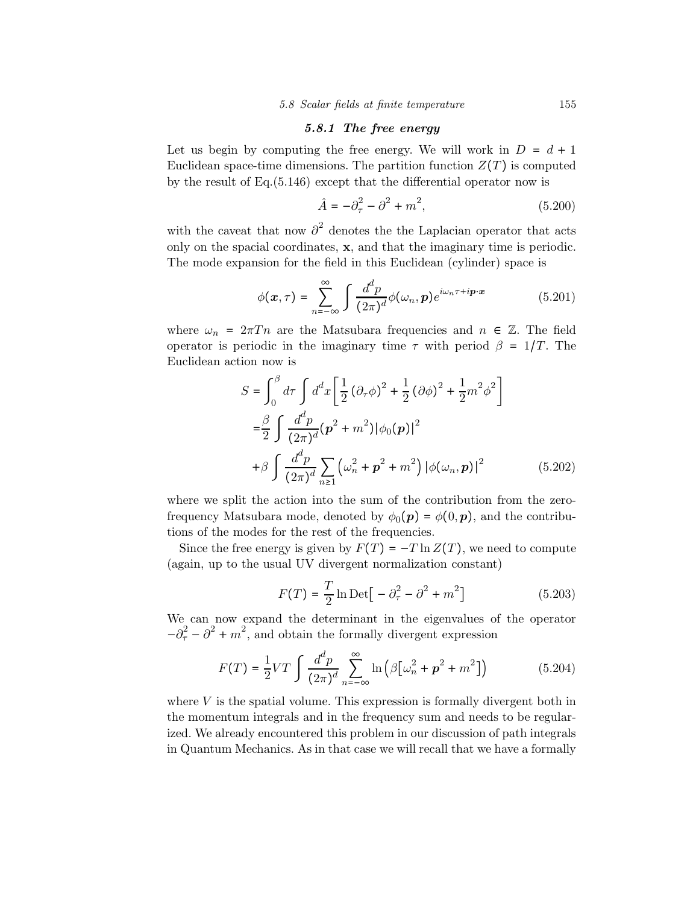#### 5.8.1 The free energy

Let us begin by computing the free energy. We will work in  $D = d + 1$ Euclidean space-time dimensions. The partition function  $Z(T)$  is computed by the result of Eq.(5.146) except that the differential operator now is

$$
\hat{A} = -\partial_{\tau}^{2} - \partial^{2} + m^{2},
$$
\n(5.200)

with the caveat that now  $\partial^2$  denotes the the Laplacian operator that acts only on the spacial coordinates, x, and that the imaginary time is periodic. The mode expansion for the field in this Euclidean (cylinder) space is

$$
\phi(\mathbf{x},\tau) = \sum_{n=-\infty}^{\infty} \int \frac{d^d p}{(2\pi)^d} \phi(\omega_n, \mathbf{p}) e^{i\omega_n \tau + i\mathbf{p} \cdot \mathbf{x}}
$$
(5.201)

where  $\omega_n = 2\pi T n$  are the Matsubara frequencies and  $n \in \mathbb{Z}$ . The field operator is periodic in the imaginary time  $\tau$  with period  $\beta = 1/T$ . The Euclidean action now is

$$
S = \int_0^{\beta} d\tau \int d^d x \left[ \frac{1}{2} (\partial_{\tau} \phi)^2 + \frac{1}{2} (\partial \phi)^2 + \frac{1}{2} m^2 \phi^2 \right]
$$
  
\n
$$
= \frac{\beta}{2} \int \frac{d^d p}{(2\pi)^d} (p^2 + m^2) |\phi_0(p)|^2
$$
  
\n
$$
+ \beta \int \frac{d^d p}{(2\pi)^d} \sum_{n \ge 1} (\omega_n^2 + p^2 + m^2) |\phi(\omega_n, p)|^2
$$
(5.202)

where we split the action into the sum of the contribution from the zerofrequency Matsubara mode, denoted by  $\phi_0(\mathbf{p}) = \phi(0, \mathbf{p})$ , and the contributions of the modes for the rest of the frequencies.

Since the free energy is given by  $F(T) = -T \ln Z(T)$ , we need to compute (again, up to the usual UV divergent normalization constant)

$$
F(T) = \frac{T}{2} \ln \text{Det} \left[ -\partial_{\tau}^{2} - \partial^{2} + m^{2} \right]
$$
 (5.203)

We can now expand the determinant in the eigenvalues of the operator  $-\partial_{\tau}^{2} - \partial_{\tau}^{2} + m^{2}$ , and obtain the formally divergent expression

$$
F(T) = \frac{1}{2}VT \int \frac{d^d p}{(2\pi)^d} \sum_{n=-\infty}^{\infty} \ln (\beta[\omega_n^2 + p^2 + m^2])
$$
 (5.204)

where  $V$  is the spatial volume. This expression is formally divergent both in the momentum integrals and in the frequency sum and needs to be regularized. We already encountered this problem in our discussion of path integrals in Quantum Mechanics. As in that case we will recall that we have a formally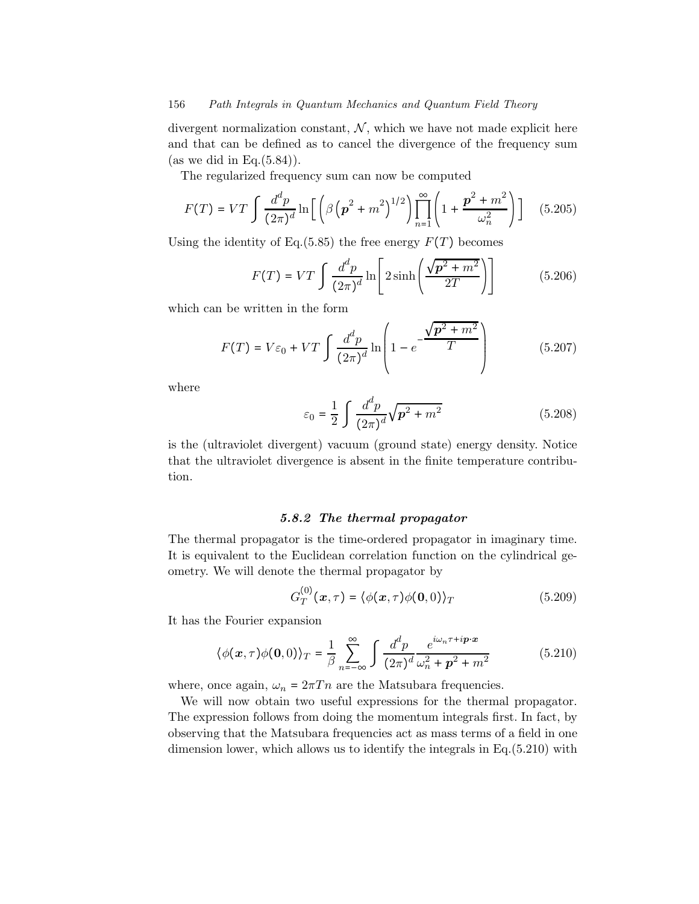divergent normalization constant,  $\mathcal{N}$ , which we have not made explicit here and that can be defined as to cancel the divergence of the frequency sum (as we did in Eq. $(5.84)$ ).

The regularized frequency sum can now be computed

$$
F(T) = VT \int \frac{d^d p}{(2\pi)^d} \ln \left[ \left( \beta \left( p^2 + m^2 \right)^{1/2} \right) \prod_{n=1}^{\infty} \left( 1 + \frac{p^2 + m^2}{\omega_n^2} \right) \right] \quad (5.205)
$$

Using the identity of Eq.(5.85) the free energy  $F(T)$  becomes

$$
F(T) = VT \int \frac{d^d p}{(2\pi)^d} \ln \left[ 2 \sinh \left( \frac{\sqrt{p^2 + m^2}}{2T} \right) \right]
$$
 (5.206)

which can be written in the form

$$
F(T) = V\varepsilon_0 + VT \int \frac{d^d p}{(2\pi)^d} \ln\left(1 - e^{-\frac{\sqrt{p^2 + m^2}}{T}}\right)
$$
 (5.207)

where

$$
\varepsilon_0 = \frac{1}{2} \int \frac{d^d p}{(2\pi)^d} \sqrt{\mathbf{p}^2 + m^2} \tag{5.208}
$$

is the (ultraviolet divergent) vacuum (ground state) energy density. Notice that the ultraviolet divergence is absent in the finite temperature contribution.

## 5.8.2 The thermal propagator

The thermal propagator is the time-ordered propagator in imaginary time. It is equivalent to the Euclidean correlation function on the cylindrical geometry. We will denote the thermal propagator by

$$
G_T^{(0)}(\boldsymbol{x},\tau) = \langle \phi(\boldsymbol{x},\tau)\phi(\mathbf{0},0)\rangle_T \tag{5.209}
$$

It has the Fourier expansion

$$
\langle \phi(\mathbf{x}, \tau) \phi(\mathbf{0}, 0) \rangle_T = \frac{1}{\beta} \sum_{n = -\infty}^{\infty} \int \frac{d^d p}{(2\pi)^d} \frac{e^{i\omega_n \tau + i\mathbf{p} \cdot \mathbf{x}}}{\omega_n^2 + \mathbf{p}^2 + m^2}
$$
(5.210)

where, once again,  $\omega_n = 2\pi T n$  are the Matsubara frequencies.

We will now obtain two useful expressions for the thermal propagator. The expression follows from doing the momentum integrals first. In fact, by observing that the Matsubara frequencies act as mass terms of a field in one dimension lower, which allows us to identify the integrals in Eq.(5.210) with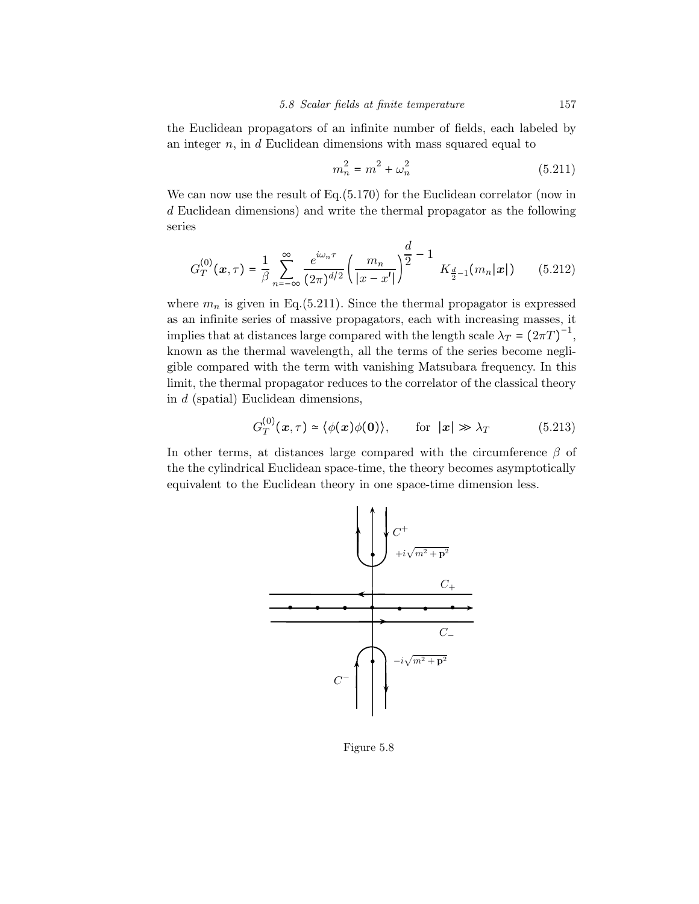the Euclidean propagators of an infinite number of fields, each labeled by an integer  $n$ , in  $d$  Euclidean dimensions with mass squared equal to

$$
m_n^2 = m^2 + \omega_n^2 \tag{5.211}
$$

We can now use the result of Eq.  $(5.170)$  for the Euclidean correlator (now in d Euclidean dimensions) and write the thermal propagator as the following series

$$
G_T^{(0)}(\boldsymbol{x},\tau) = \frac{1}{\beta} \sum_{n=-\infty}^{\infty} \frac{e^{i\omega_n \tau}}{(2\pi)^{d/2}} \left( \frac{m_n}{|x - x'|} \right)^{\frac{d}{2}} - 1 K_{\frac{d}{2}-1}(m_n|\boldsymbol{x}|) \qquad (5.212)
$$

where  $m_n$  is given in Eq.(5.211). Since the thermal propagator is expressed as an infinite series of massive propagators, each with increasing masses, it implies that at distances large compared with the length scale  $\lambda_T = (2\pi T)^{-1}$ , known as the thermal wavelength, all the terms of the series become negligible compared with the term with vanishing Matsubara frequency. In this limit, the thermal propagator reduces to the correlator of the classical theory in d (spatial) Euclidean dimensions,

$$
G_T^{(0)}(\mathbf{x},\tau) \simeq \langle \phi(\mathbf{x})\phi(\mathbf{0})\rangle, \qquad \text{for } |\mathbf{x}| \gg \lambda_T \tag{5.213}
$$

In other terms, at distances large compared with the circumference  $\beta$  of the the cylindrical Euclidean space-time, the theory becomes asymptotically equivalent to the Euclidean theory in one space-time dimension less.



Figure 5.8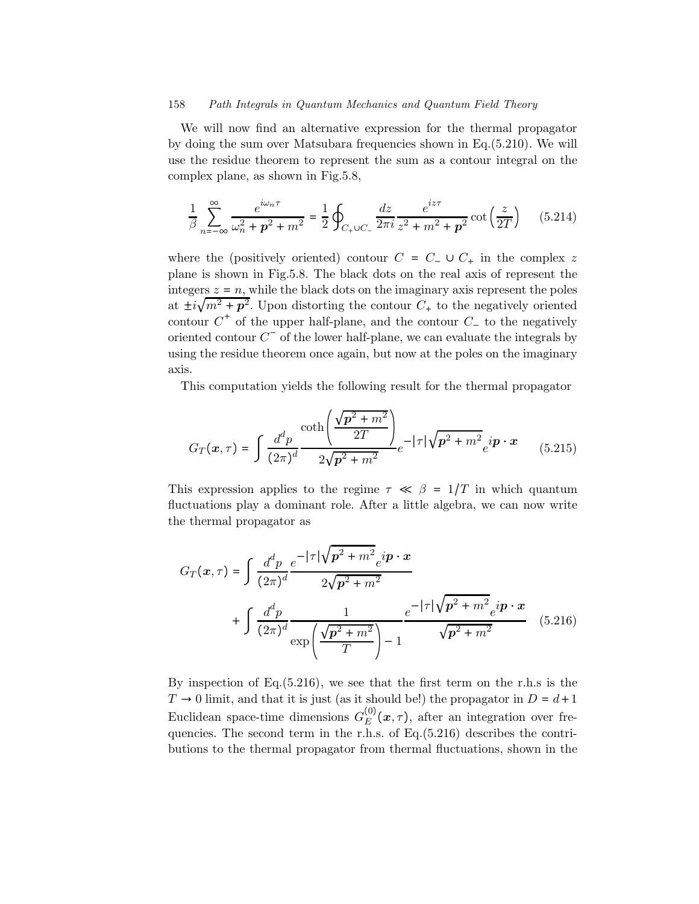We will now find an alternative expression for the thermal propagator by doing the sum over Matsubara frequencies shown in Eq.(5.210). We will use the residue theorem to represent the sum as a contour integral on the complex plane, as shown in Fig.5.8,

$$
\frac{1}{\beta} \sum_{n=-\infty}^{\infty} \frac{e^{i\omega_n \tau}}{\omega_n^2 + p^2 + m^2} = \frac{1}{2} \oint_{C_+ \cup C_-} \frac{dz}{2\pi i} \frac{e^{iz\tau}}{z^2 + m^2 + p^2} \cot\left(\frac{z}{2T}\right) \tag{5.214}
$$

where the (positively oriented) contour  $C = C_-\cup C_+$  in the complex z plane is shown in Fig.5.8. The black dots on the real axis of represent the integers  $z = n$ , while the black dots on the imaginary axis represent the poles at  $\pm i\sqrt{m^2+p^2}$ . Upon distorting the contour  $C_+$  to the negatively oriented contour  $C^+$  of the upper half-plane, and the contour  $C^-$  to the negatively oriented contour  $C^-$  of the lower half-plane, we can evaluate the integrals by using the residue theorem once again, but now at the poles on the imaginary axis.

This computation yields the following result for the thermal propagator

$$
G_T(x,\tau) = \int \frac{d^d p}{(2\pi)^d} \frac{\coth\left(\frac{\sqrt{p^2 + m^2}}{2T}\right)}{2\sqrt{p^2 + m^2}} e^{-|\tau| \sqrt{p^2 + m^2}} e^{i\mathbf{p} \cdot \mathbf{x}}
$$
(5.215)

This expression applies to the regime  $\tau \ll \beta = 1/T$  in which quantum fluctuations play a dominant role. After a little algebra, we can now write the thermal propagator as

$$
G_T(\mathbf{x}, \tau) = \int \frac{d^d p}{(2\pi)^d} \frac{e^{-|\tau|} \sqrt{p^2 + m^2} e^{i \mathbf{p} \cdot \mathbf{x}}}{2\sqrt{p^2 + m^2}} + \int \frac{d^d p}{(2\pi)^d} \frac{1}{\exp\left(\frac{\sqrt{p^2 + m^2}}{T}\right) - 1} \frac{e^{-|\tau|} \sqrt{p^2 + m^2} e^{i \mathbf{p} \cdot \mathbf{x}}}{\sqrt{p^2 + m^2}} \quad (5.216)
$$

By inspection of Eq.(5.216), we see that the first term on the r.h.s is the  $T \rightarrow 0$  limit, and that it is just (as it should be!) the propagator in  $D = d+1$ Euclidean space-time dimensions  $G_E^{(0)}(x, \tau)$ , after an integration over frequencies. The second term in the r.h.s. of Eq.(5.216) describes the contributions to the thermal propagator from thermal fluctuations, shown in the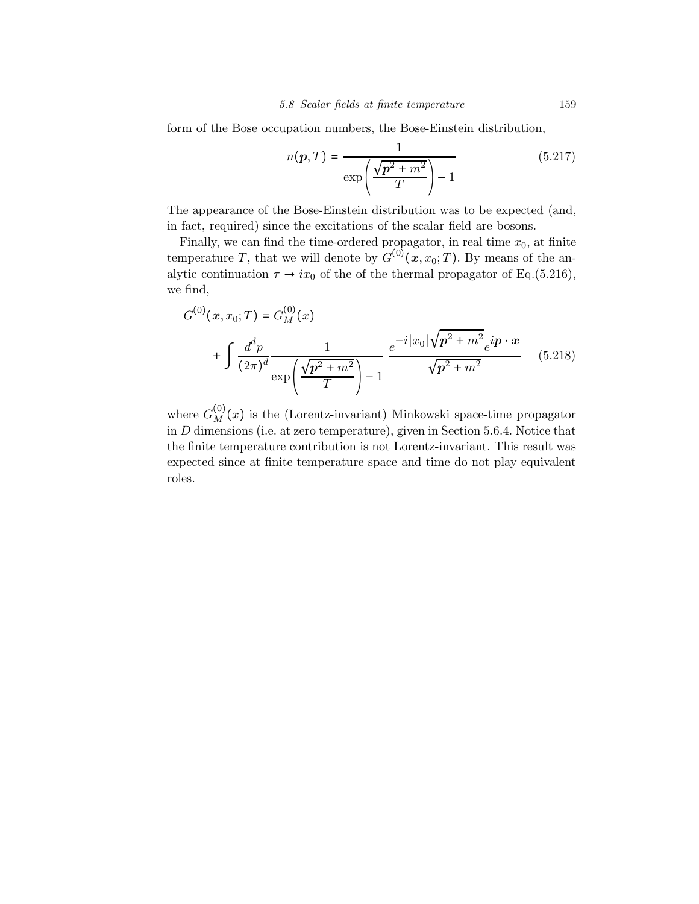form of the Bose occupation numbers, the Bose-Einstein distribution,

$$
n(\boldsymbol{p}, T) = \frac{1}{\exp\left(\frac{\sqrt{\boldsymbol{p}^2 + m^2}}{T}\right) - 1} \tag{5.217}
$$

The appearance of the Bose-Einstein distribution was to be expected (and, in fact, required) since the excitations of the scalar field are bosons.

Finally, we can find the time-ordered propagator, in real time  $x_0$ , at finite temperature T, that we will denote by  $G^{(0)}(x, x_0; T)$ . By means of the analytic continuation  $\tau \to ix_0$  of the of the thermal propagator of Eq.(5.216), we find,

$$
G^{(0)}(\boldsymbol{x}, x_0; T) = G_M^{(0)}(x)
$$
  
+ 
$$
\int \frac{d^d p}{(2\pi)^d} \frac{1}{\exp\left(\frac{\sqrt{p^2 + m^2}}{T}\right) - 1} e^{-i|x_0|\sqrt{p^2 + m^2}} e^{i\boldsymbol{p} \cdot \boldsymbol{x}} \qquad (5.218)
$$

where  $G_M^{(0)}(x)$  is the (Lorentz-invariant) Minkowski space-time propagator in D dimensions (i.e. at zero temperature), given in Section 5.6.4. Notice that the finite temperature contribution is not Lorentz-invariant. This result was expected since at finite temperature space and time do not play equivalent roles.